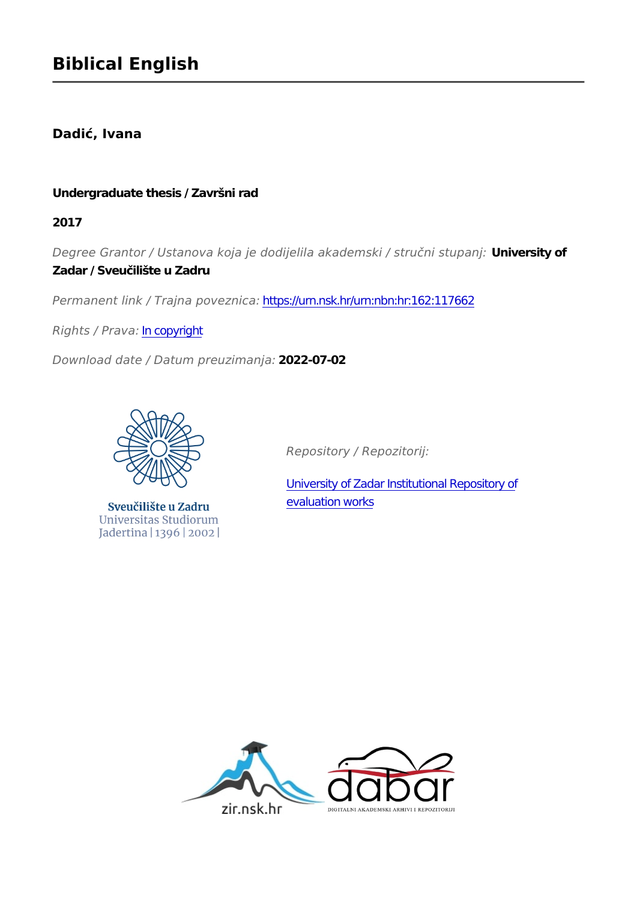## **Dadić, Ivana**

#### **Undergraduate thesis / Završni rad**

**2017**

*Degree Grantor / Ustanova koja je dodijelila akademski / stručni stupanj:* **University of Zadar / Sveučilište u Zadru**

*Permanent link / Trajna poveznica:* <https://urn.nsk.hr/urn:nbn:hr:162:117662>

*Rights / Prava:* [In copyright](http://rightsstatements.org/vocab/InC/1.0/)

*Download date / Datum preuzimanja:* **2022-07-02**



Sveučilište u Zadru Universitas Studiorum Jadertina | 1396 | 2002 |

*Repository / Repozitorij:*

[University of Zadar Institutional Repository of](https://repozitorij.unizd.hr) [evaluation works](https://repozitorij.unizd.hr)

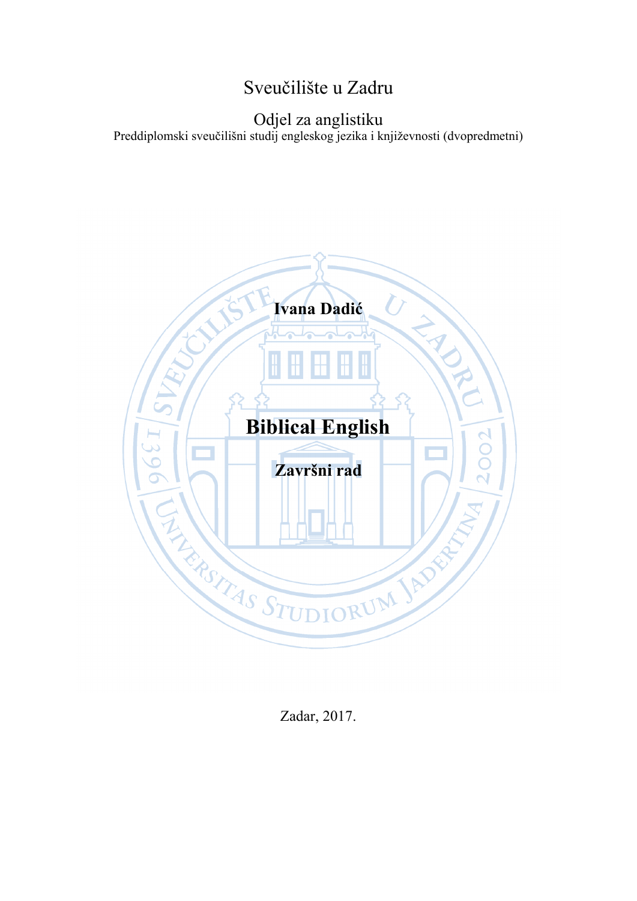# Sveučilište u Zadru

## Odjel za anglistiku Preddiplomski sveučilišni studij engleskog jezika i književnosti (dvopredmetni)



Zadar, 2017.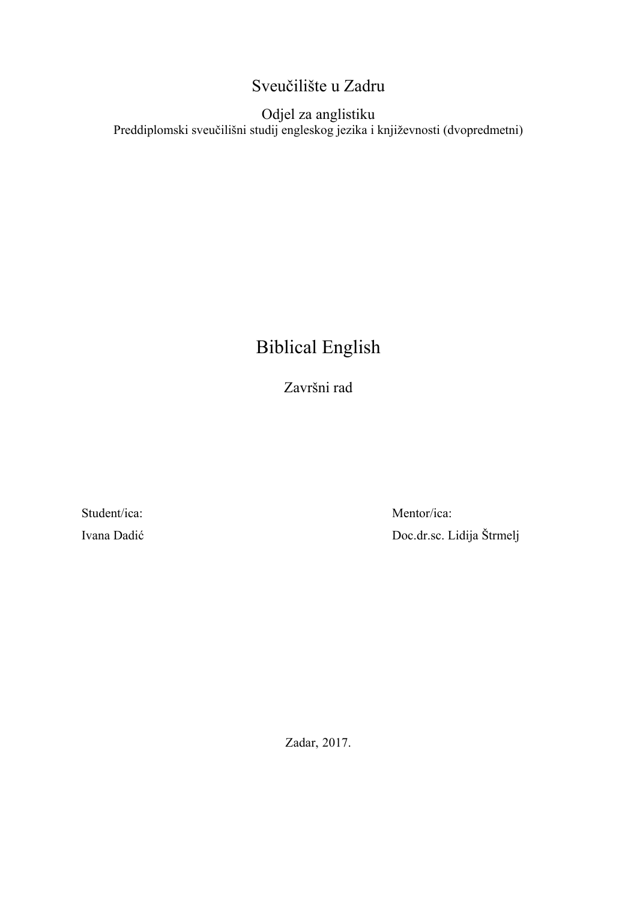## Sveučilište u Zadru

## Odjel za anglistiku Preddiplomski sveučilišni studij engleskog jezika i književnosti (dvopredmetni)

# Biblical English

Završni rad

Student/ica: Ivana Dadić

Mentor/ica: Doc.dr.sc. Lidija Štrmelj

Zadar, 2017.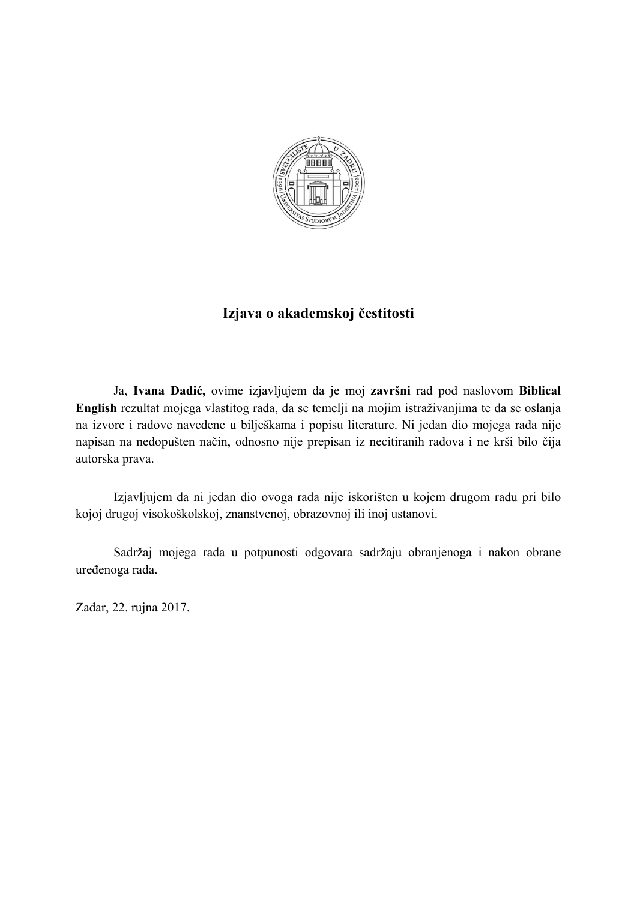

## **Izjava o akademskoj čestitosti**

Ja, **Ivana Dadić,** ovime izjavljujem da je moj **završni** rad pod naslovom **Biblical English** rezultat mojega vlastitog rada, da se temelji na mojim istraživanjima te da se oslanja na izvore i radove navedene u bilješkama i popisu literature. Ni jedan dio mojega rada nije napisan na nedopušten način, odnosno nije prepisan iz necitiranih radova i ne krši bilo čija autorska prava.

Izjavljujem da ni jedan dio ovoga rada nije iskorišten u kojem drugom radu pri bilo kojoj drugoj visokoškolskoj, znanstvenoj, obrazovnoj ili inoj ustanovi.

Sadržaj mojega rada u potpunosti odgovara sadržaju obranjenoga i nakon obrane uređenoga rada.

Zadar, 22. rujna 2017.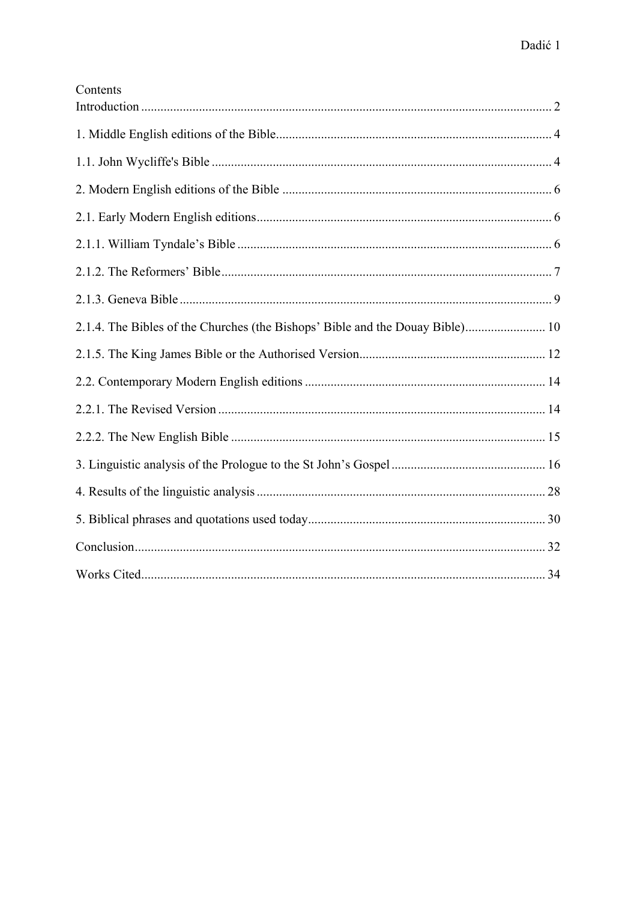| Contents |  |
|----------|--|
|          |  |
|          |  |
|          |  |
|          |  |
|          |  |
|          |  |
|          |  |
|          |  |
|          |  |
|          |  |
|          |  |
|          |  |
|          |  |
|          |  |
|          |  |
|          |  |
|          |  |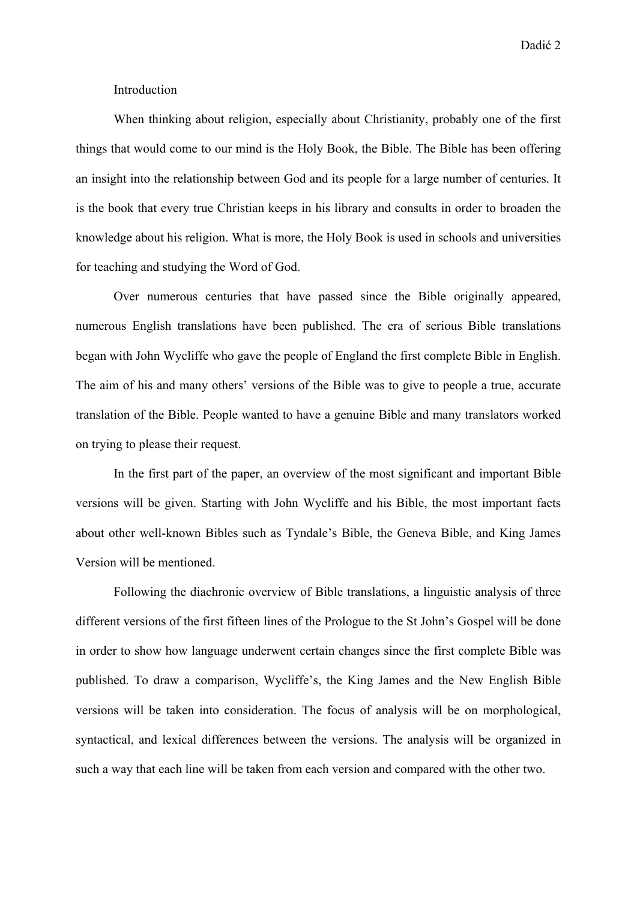Dadić 2

#### Introduction

When thinking about religion, especially about Christianity, probably one of the first things that would come to our mind is the Holy Book, the Bible. The Bible has been offering an insight into the relationship between God and its people for a large number of centuries. It is the book that every true Christian keeps in his library and consults in order to broaden the knowledge about his religion. What is more, the Holy Book is used in schools and universities for teaching and studying the Word of God.

Over numerous centuries that have passed since the Bible originally appeared, numerous English translations have been published. The era of serious Bible translations began with John Wycliffe who gave the people of England the first complete Bible in English. The aim of his and many others' versions of the Bible was to give to people a true, accurate translation of the Bible. People wanted to have a genuine Bible and many translators worked on trying to please their request.

In the first part of the paper, an overview of the most significant and important Bible versions will be given. Starting with John Wycliffe and his Bible, the most important facts about other well-known Bibles such as Tyndale's Bible, the Geneva Bible, and King James Version will be mentioned.

Following the diachronic overview of Bible translations, a linguistic analysis of three different versions of the first fifteen lines of the Prologue to the St John's Gospel will be done in order to show how language underwent certain changes since the first complete Bible was published. To draw a comparison, Wycliffe's, the King James and the New English Bible versions will be taken into consideration. The focus of analysis will be on morphological, syntactical, and lexical differences between the versions. The analysis will be organized in such a way that each line will be taken from each version and compared with the other two.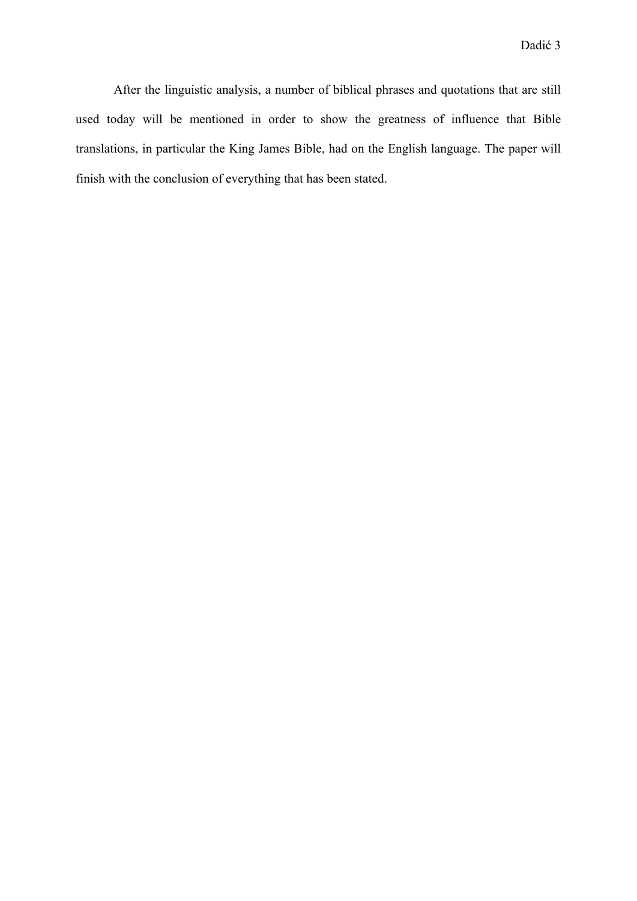After the linguistic analysis, a number of biblical phrases and quotations that are still used today will be mentioned in order to show the greatness of influence that Bible translations, in particular the King James Bible, had on the English language. The paper will finish with the conclusion of everything that has been stated.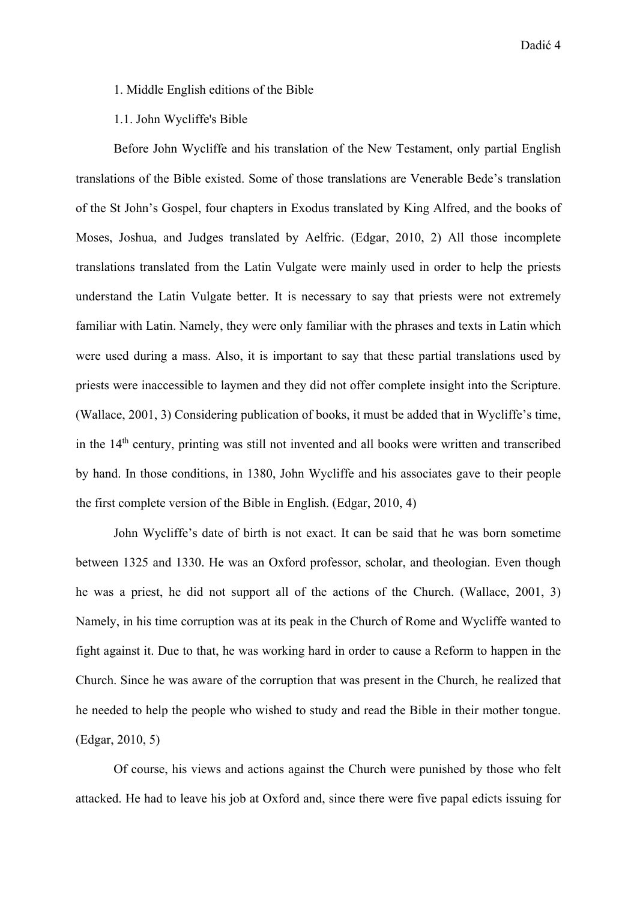Dadić 4

1. Middle English editions of the Bible

1.1. John Wycliffe's Bible

Before John Wycliffe and his translation of the New Testament, only partial English translations of the Bible existed. Some of those translations are Venerable Bede's translation of the St John's Gospel, four chapters in Exodus translated by King Alfred, and the books of Moses, Joshua, and Judges translated by Aelfric. (Edgar, 2010, 2) All those incomplete translations translated from the Latin Vulgate were mainly used in order to help the priests understand the Latin Vulgate better. It is necessary to say that priests were not extremely familiar with Latin. Namely, they were only familiar with the phrases and texts in Latin which were used during a mass. Also, it is important to say that these partial translations used by priests were inaccessible to laymen and they did not offer complete insight into the Scripture. (Wallace, 2001, 3) Considering publication of books, it must be added that in Wycliffe's time, in the 14th century, printing was still not invented and all books were written and transcribed by hand. In those conditions, in 1380, John Wycliffe and his associates gave to their people the first complete version of the Bible in English. (Edgar, 2010, 4)

John Wycliffe's date of birth is not exact. It can be said that he was born sometime between 1325 and 1330. He was an Oxford professor, scholar, and theologian. Even though he was a priest, he did not support all of the actions of the Church. (Wallace, 2001, 3) Namely, in his time corruption was at its peak in the Church of Rome and Wycliffe wanted to fight against it. Due to that, he was working hard in order to cause a Reform to happen in the Church. Since he was aware of the corruption that was present in the Church, he realized that he needed to help the people who wished to study and read the Bible in their mother tongue. (Edgar, 2010, 5)

Of course, his views and actions against the Church were punished by those who felt attacked. He had to leave his job at Oxford and, since there were five papal edicts issuing for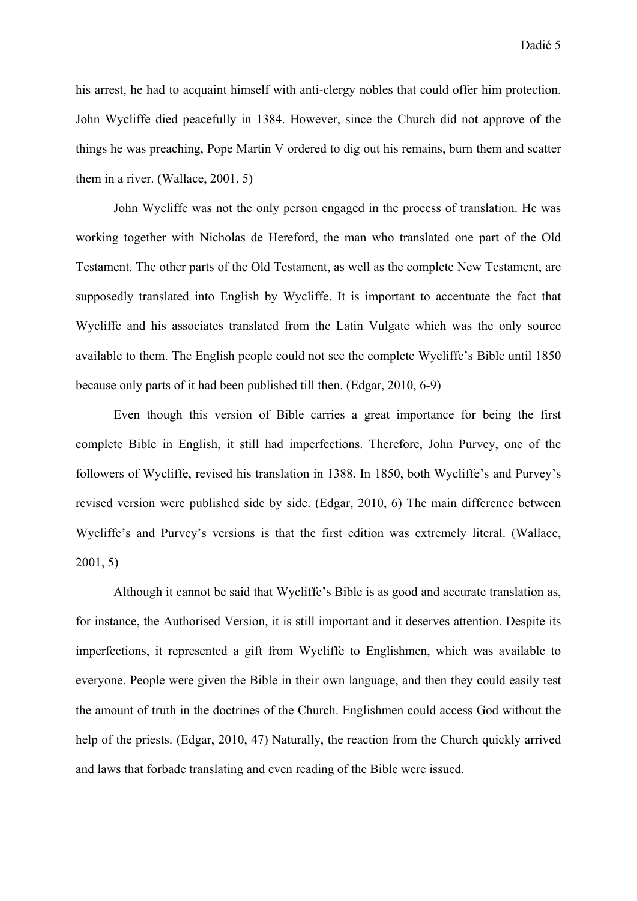his arrest, he had to acquaint himself with anti-clergy nobles that could offer him protection. John Wycliffe died peacefully in 1384. However, since the Church did not approve of the things he was preaching, Pope Martin V ordered to dig out his remains, burn them and scatter them in a river. (Wallace, 2001, 5)

John Wycliffe was not the only person engaged in the process of translation. He was working together with Nicholas de Hereford, the man who translated one part of the Old Testament. The other parts of the Old Testament, as well as the complete New Testament, are supposedly translated into English by Wycliffe. It is important to accentuate the fact that Wycliffe and his associates translated from the Latin Vulgate which was the only source available to them. The English people could not see the complete Wycliffe's Bible until 1850 because only parts of it had been published till then. (Edgar, 2010, 6-9)

Even though this version of Bible carries a great importance for being the first complete Bible in English, it still had imperfections. Therefore, John Purvey, one of the followers of Wycliffe, revised his translation in 1388. In 1850, both Wycliffe's and Purvey's revised version were published side by side. (Edgar, 2010, 6) The main difference between Wycliffe's and Purvey's versions is that the first edition was extremely literal. (Wallace, 2001, 5)

Although it cannot be said that Wycliffe's Bible is as good and accurate translation as, for instance, the Authorised Version, it is still important and it deserves attention. Despite its imperfections, it represented a gift from Wycliffe to Englishmen, which was available to everyone. People were given the Bible in their own language, and then they could easily test the amount of truth in the doctrines of the Church. Englishmen could access God without the help of the priests. (Edgar, 2010, 47) Naturally, the reaction from the Church quickly arrived and laws that forbade translating and even reading of the Bible were issued.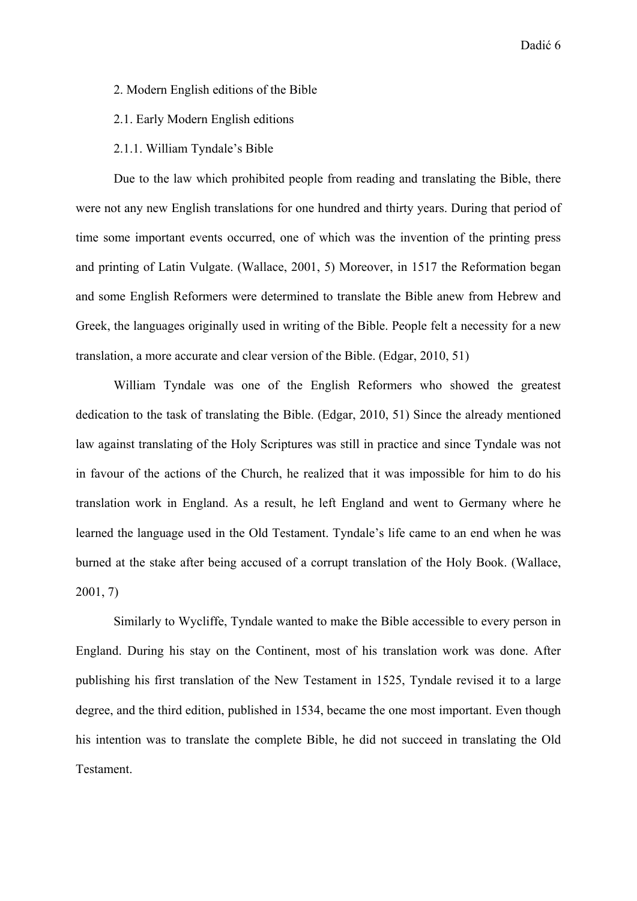- 2. Modern English editions of the Bible
- 2.1. Early Modern English editions
- 2.1.1. William Tyndale's Bible

Due to the law which prohibited people from reading and translating the Bible, there were not any new English translations for one hundred and thirty years. During that period of time some important events occurred, one of which was the invention of the printing press and printing of Latin Vulgate. (Wallace, 2001, 5) Moreover, in 1517 the Reformation began and some English Reformers were determined to translate the Bible anew from Hebrew and Greek, the languages originally used in writing of the Bible. People felt a necessity for a new translation, a more accurate and clear version of the Bible. (Edgar, 2010, 51)

William Tyndale was one of the English Reformers who showed the greatest dedication to the task of translating the Bible. (Edgar, 2010, 51) Since the already mentioned law against translating of the Holy Scriptures was still in practice and since Tyndale was not in favour of the actions of the Church, he realized that it was impossible for him to do his translation work in England. As a result, he left England and went to Germany where he learned the language used in the Old Testament. Tyndale's life came to an end when he was burned at the stake after being accused of a corrupt translation of the Holy Book. (Wallace, 2001, 7)

Similarly to Wycliffe, Tyndale wanted to make the Bible accessible to every person in England. During his stay on the Continent, most of his translation work was done. After publishing his first translation of the New Testament in 1525, Tyndale revised it to a large degree, and the third edition, published in 1534, became the one most important. Even though his intention was to translate the complete Bible, he did not succeed in translating the Old **Testament**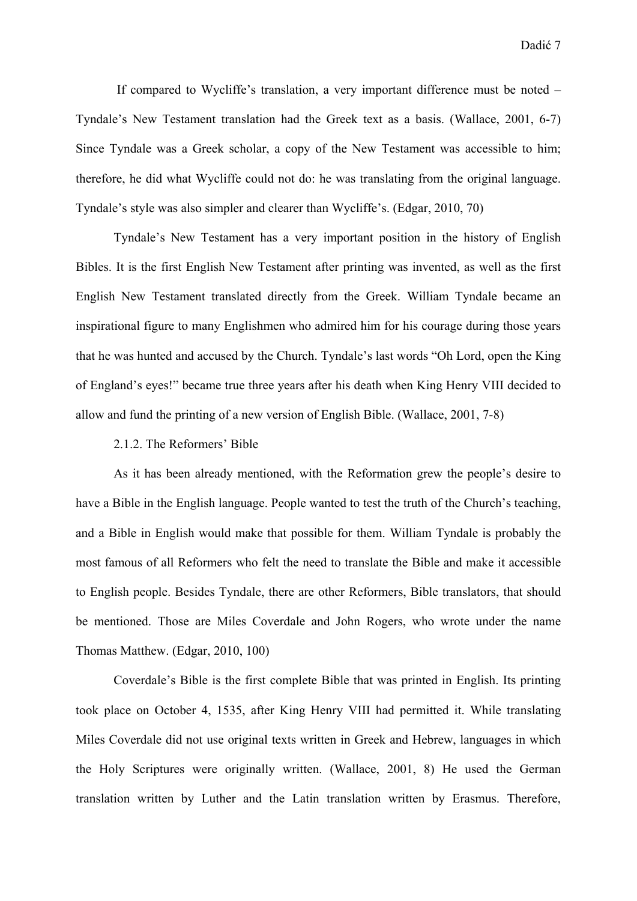If compared to Wycliffe's translation, a very important difference must be noted – Tyndale's New Testament translation had the Greek text as a basis. (Wallace, 2001, 6-7) Since Tyndale was a Greek scholar, a copy of the New Testament was accessible to him; therefore, he did what Wycliffe could not do: he was translating from the original language. Tyndale's style was also simpler and clearer than Wycliffe's. (Edgar, 2010, 70)

Tyndale's New Testament has a very important position in the history of English Bibles. It is the first English New Testament after printing was invented, as well as the first English New Testament translated directly from the Greek. William Tyndale became an inspirational figure to many Englishmen who admired him for his courage during those years that he was hunted and accused by the Church. Tyndale's last words "Oh Lord, open the King of England's eyes!" became true three years after his death when King Henry VIII decided to allow and fund the printing of a new version of English Bible. (Wallace, 2001, 7-8)

#### 2.1.2. The Reformers' Bible

As it has been already mentioned, with the Reformation grew the people's desire to have a Bible in the English language. People wanted to test the truth of the Church's teaching, and a Bible in English would make that possible for them. William Tyndale is probably the most famous of all Reformers who felt the need to translate the Bible and make it accessible to English people. Besides Tyndale, there are other Reformers, Bible translators, that should be mentioned. Those are Miles Coverdale and John Rogers, who wrote under the name Thomas Matthew. (Edgar, 2010, 100)

Coverdale's Bible is the first complete Bible that was printed in English. Its printing took place on October 4, 1535, after King Henry VIII had permitted it. While translating Miles Coverdale did not use original texts written in Greek and Hebrew, languages in which the Holy Scriptures were originally written. (Wallace, 2001, 8) He used the German translation written by Luther and the Latin translation written by Erasmus. Therefore,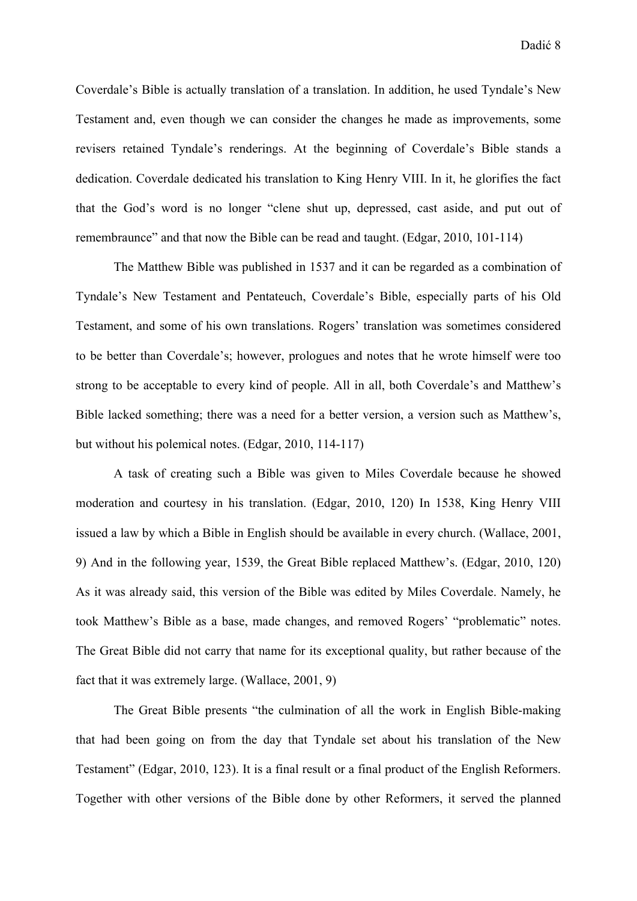Coverdale's Bible is actually translation of a translation. In addition, he used Tyndale's New Testament and, even though we can consider the changes he made as improvements, some revisers retained Tyndale's renderings. At the beginning of Coverdale's Bible stands a dedication. Coverdale dedicated his translation to King Henry VIII. In it, he glorifies the fact that the God's word is no longer "clene shut up, depressed, cast aside, and put out of remembraunce" and that now the Bible can be read and taught. (Edgar, 2010, 101-114)

The Matthew Bible was published in 1537 and it can be regarded as a combination of Tyndale's New Testament and Pentateuch, Coverdale's Bible, especially parts of his Old Testament, and some of his own translations. Rogers' translation was sometimes considered to be better than Coverdale's; however, prologues and notes that he wrote himself were too strong to be acceptable to every kind of people. All in all, both Coverdale's and Matthew's Bible lacked something; there was a need for a better version, a version such as Matthew's, but without his polemical notes. (Edgar, 2010, 114-117)

A task of creating such a Bible was given to Miles Coverdale because he showed moderation and courtesy in his translation. (Edgar, 2010, 120) In 1538, King Henry VIII issued a law by which a Bible in English should be available in every church. (Wallace, 2001, 9) And in the following year, 1539, the Great Bible replaced Matthew's. (Edgar, 2010, 120) As it was already said, this version of the Bible was edited by Miles Coverdale. Namely, he took Matthew's Bible as a base, made changes, and removed Rogers' "problematic" notes. The Great Bible did not carry that name for its exceptional quality, but rather because of the fact that it was extremely large. (Wallace, 2001, 9)

The Great Bible presents "the culmination of all the work in English Bible-making that had been going on from the day that Tyndale set about his translation of the New Testament" (Edgar, 2010, 123). It is a final result or a final product of the English Reformers. Together with other versions of the Bible done by other Reformers, it served the planned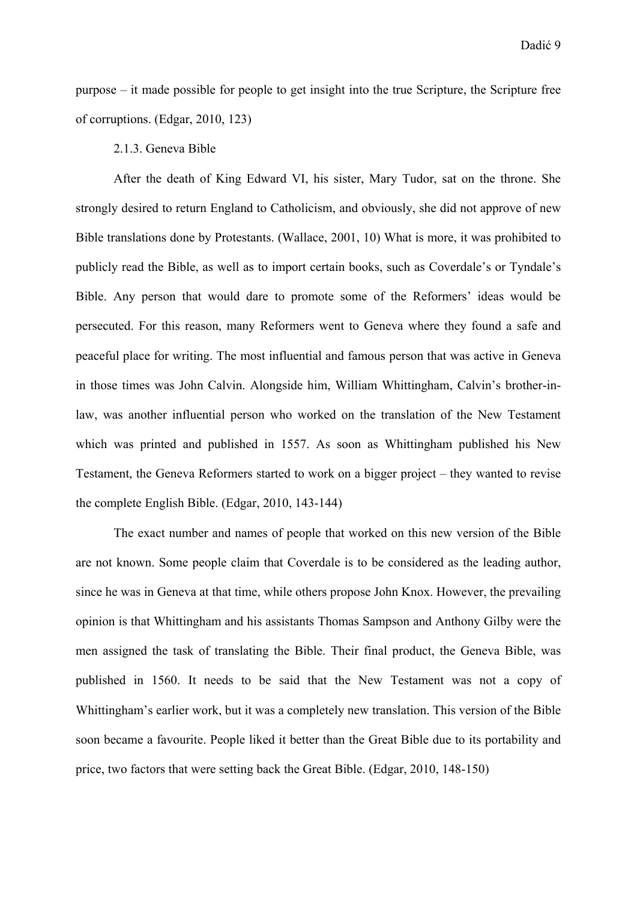purpose – it made possible for people to get insight into the true Scripture, the Scripture free of corruptions. (Edgar, 2010, 123)

#### 2.1.3. Geneva Bible

After the death of King Edward VI, his sister, Mary Tudor, sat on the throne. She strongly desired to return England to Catholicism, and obviously, she did not approve of new Bible translations done by Protestants. (Wallace, 2001, 10) What is more, it was prohibited to publicly read the Bible, as well as to import certain books, such as Coverdale's or Tyndale's Bible. Any person that would dare to promote some of the Reformers' ideas would be persecuted. For this reason, many Reformers went to Geneva where they found a safe and peaceful place for writing. The most influential and famous person that was active in Geneva in those times was John Calvin. Alongside him, William Whittingham, Calvin's brother-inlaw, was another influential person who worked on the translation of the New Testament which was printed and published in 1557. As soon as Whittingham published his New Testament, the Geneva Reformers started to work on a bigger project – they wanted to revise the complete English Bible. (Edgar, 2010, 143-144)

The exact number and names of people that worked on this new version of the Bible are not known. Some people claim that Coverdale is to be considered as the leading author, since he was in Geneva at that time, while others propose John Knox. However, the prevailing opinion is that Whittingham and his assistants Thomas Sampson and Anthony Gilby were the men assigned the task of translating the Bible. Their final product, the Geneva Bible, was published in 1560. It needs to be said that the New Testament was not a copy of Whittingham's earlier work, but it was a completely new translation. This version of the Bible soon became a favourite. People liked it better than the Great Bible due to its portability and price, two factors that were setting back the Great Bible. (Edgar, 2010, 148-150)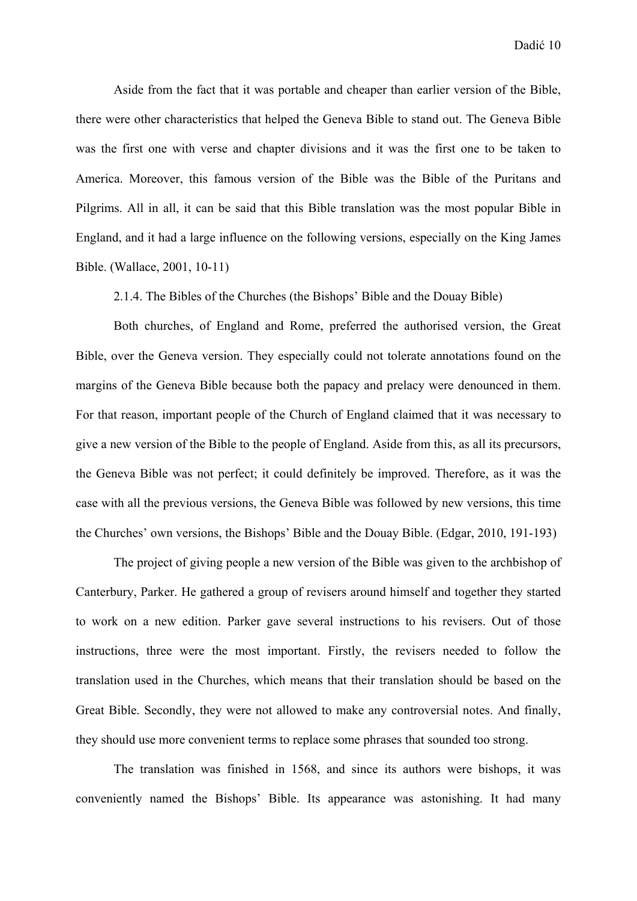Aside from the fact that it was portable and cheaper than earlier version of the Bible, there were other characteristics that helped the Geneva Bible to stand out. The Geneva Bible was the first one with verse and chapter divisions and it was the first one to be taken to America. Moreover, this famous version of the Bible was the Bible of the Puritans and Pilgrims. All in all, it can be said that this Bible translation was the most popular Bible in England, and it had a large influence on the following versions, especially on the King James Bible. (Wallace, 2001, 10-11)

2.1.4. The Bibles of the Churches (the Bishops' Bible and the Douay Bible)

Both churches, of England and Rome, preferred the authorised version, the Great Bible, over the Geneva version. They especially could not tolerate annotations found on the margins of the Geneva Bible because both the papacy and prelacy were denounced in them. For that reason, important people of the Church of England claimed that it was necessary to give a new version of the Bible to the people of England. Aside from this, as all its precursors, the Geneva Bible was not perfect; it could definitely be improved. Therefore, as it was the case with all the previous versions, the Geneva Bible was followed by new versions, this time the Churches' own versions, the Bishops' Bible and the Douay Bible. (Edgar, 2010, 191-193)

The project of giving people a new version of the Bible was given to the archbishop of Canterbury, Parker. He gathered a group of revisers around himself and together they started to work on a new edition. Parker gave several instructions to his revisers. Out of those instructions, three were the most important. Firstly, the revisers needed to follow the translation used in the Churches, which means that their translation should be based on the Great Bible. Secondly, they were not allowed to make any controversial notes. And finally, they should use more convenient terms to replace some phrases that sounded too strong.

The translation was finished in 1568, and since its authors were bishops, it was conveniently named the Bishops' Bible. Its appearance was astonishing. It had many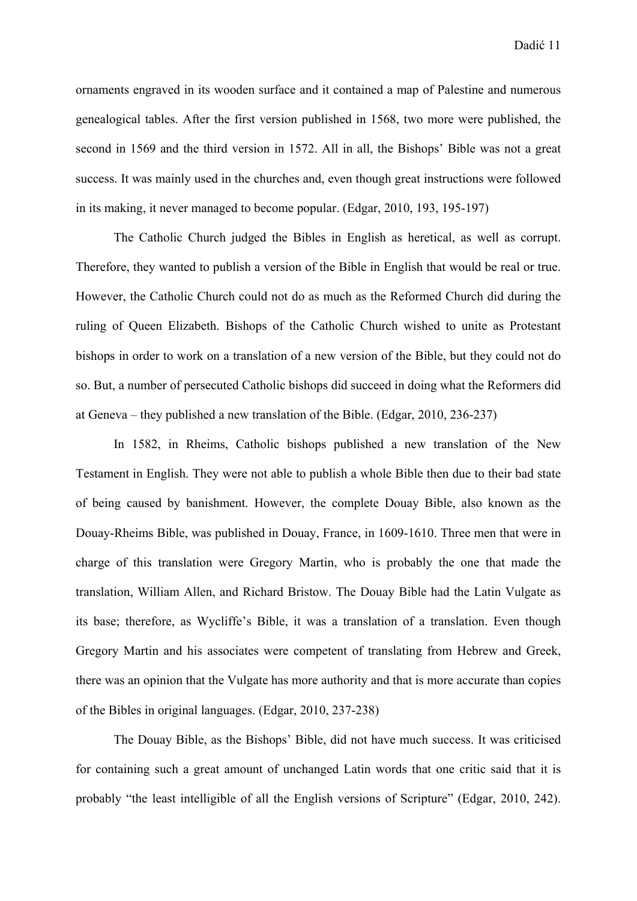ornaments engraved in its wooden surface and it contained a map of Palestine and numerous genealogical tables. After the first version published in 1568, two more were published, the second in 1569 and the third version in 1572. All in all, the Bishops' Bible was not a great success. It was mainly used in the churches and, even though great instructions were followed in its making, it never managed to become popular. (Edgar, 2010, 193, 195-197)

The Catholic Church judged the Bibles in English as heretical, as well as corrupt. Therefore, they wanted to publish a version of the Bible in English that would be real or true. However, the Catholic Church could not do as much as the Reformed Church did during the ruling of Queen Elizabeth. Bishops of the Catholic Church wished to unite as Protestant bishops in order to work on a translation of a new version of the Bible, but they could not do so. But, a number of persecuted Catholic bishops did succeed in doing what the Reformers did at Geneva – they published a new translation of the Bible. (Edgar, 2010, 236-237)

In 1582, in Rheims, Catholic bishops published a new translation of the New Testament in English. They were not able to publish a whole Bible then due to their bad state of being caused by banishment. However, the complete Douay Bible, also known as the Douay-Rheims Bible, was published in Douay, France, in 1609-1610. Three men that were in charge of this translation were Gregory Martin, who is probably the one that made the translation, William Allen, and Richard Bristow. The Douay Bible had the Latin Vulgate as its base; therefore, as Wycliffe's Bible, it was a translation of a translation. Even though Gregory Martin and his associates were competent of translating from Hebrew and Greek, there was an opinion that the Vulgate has more authority and that is more accurate than copies of the Bibles in original languages. (Edgar, 2010, 237-238)

The Douay Bible, as the Bishops' Bible, did not have much success. It was criticised for containing such a great amount of unchanged Latin words that one critic said that it is probably "the least intelligible of all the English versions of Scripture" (Edgar, 2010, 242).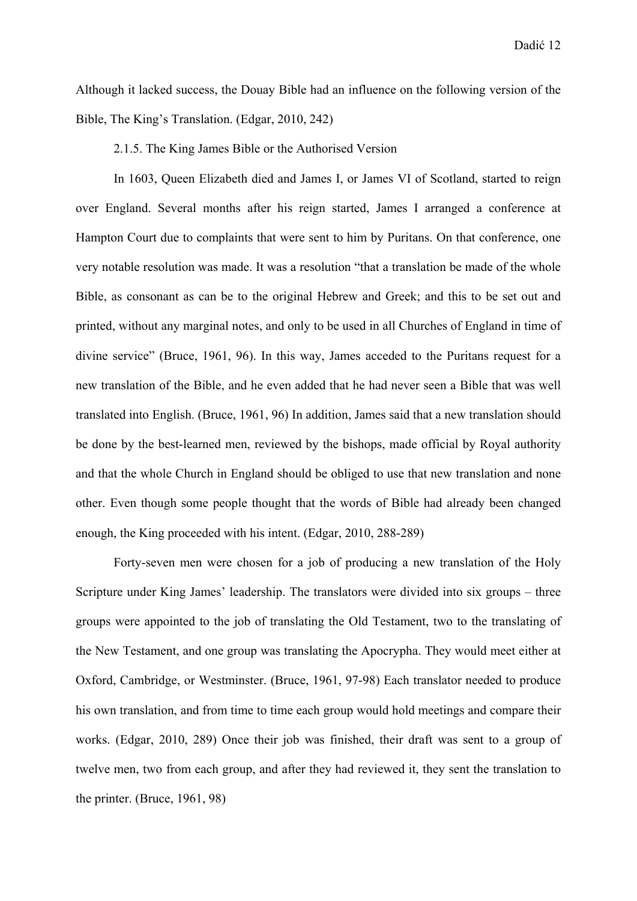Although it lacked success, the Douay Bible had an influence on the following version of the Bible, The King's Translation. (Edgar, 2010, 242)

2.1.5. The King James Bible or the Authorised Version

In 1603, Queen Elizabeth died and James I, or James VI of Scotland, started to reign over England. Several months after his reign started, James I arranged a conference at Hampton Court due to complaints that were sent to him by Puritans. On that conference, one very notable resolution was made. It was a resolution "that a translation be made of the whole Bible, as consonant as can be to the original Hebrew and Greek; and this to be set out and printed, without any marginal notes, and only to be used in all Churches of England in time of divine service" (Bruce, 1961, 96). In this way, James acceded to the Puritans request for a new translation of the Bible, and he even added that he had never seen a Bible that was well translated into English. (Bruce, 1961, 96) In addition, James said that a new translation should be done by the best-learned men, reviewed by the bishops, made official by Royal authority and that the whole Church in England should be obliged to use that new translation and none other. Even though some people thought that the words of Bible had already been changed enough, the King proceeded with his intent. (Edgar, 2010, 288-289)

Forty-seven men were chosen for a job of producing a new translation of the Holy Scripture under King James' leadership. The translators were divided into six groups – three groups were appointed to the job of translating the Old Testament, two to the translating of the New Testament, and one group was translating the Apocrypha. They would meet either at Oxford, Cambridge, or Westminster. (Bruce, 1961, 97-98) Each translator needed to produce his own translation, and from time to time each group would hold meetings and compare their works. (Edgar, 2010, 289) Once their job was finished, their draft was sent to a group of twelve men, two from each group, and after they had reviewed it, they sent the translation to the printer. (Bruce, 1961, 98)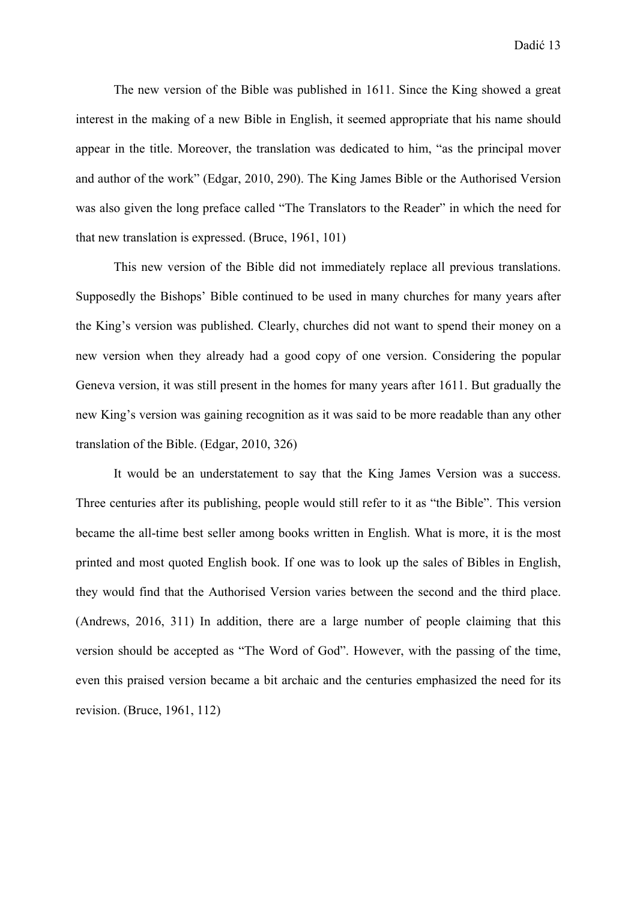The new version of the Bible was published in 1611. Since the King showed a great interest in the making of a new Bible in English, it seemed appropriate that his name should appear in the title. Moreover, the translation was dedicated to him, "as the principal mover and author of the work" (Edgar, 2010, 290). The King James Bible or the Authorised Version was also given the long preface called "The Translators to the Reader" in which the need for that new translation is expressed. (Bruce, 1961, 101)

This new version of the Bible did not immediately replace all previous translations. Supposedly the Bishops' Bible continued to be used in many churches for many years after the King's version was published. Clearly, churches did not want to spend their money on a new version when they already had a good copy of one version. Considering the popular Geneva version, it was still present in the homes for many years after 1611. But gradually the new King's version was gaining recognition as it was said to be more readable than any other translation of the Bible. (Edgar, 2010, 326)

It would be an understatement to say that the King James Version was a success. Three centuries after its publishing, people would still refer to it as "the Bible". This version became the all-time best seller among books written in English. What is more, it is the most printed and most quoted English book. If one was to look up the sales of Bibles in English, they would find that the Authorised Version varies between the second and the third place. (Andrews, 2016, 311) In addition, there are a large number of people claiming that this version should be accepted as "The Word of God". However, with the passing of the time, even this praised version became a bit archaic and the centuries emphasized the need for its revision. (Bruce, 1961, 112)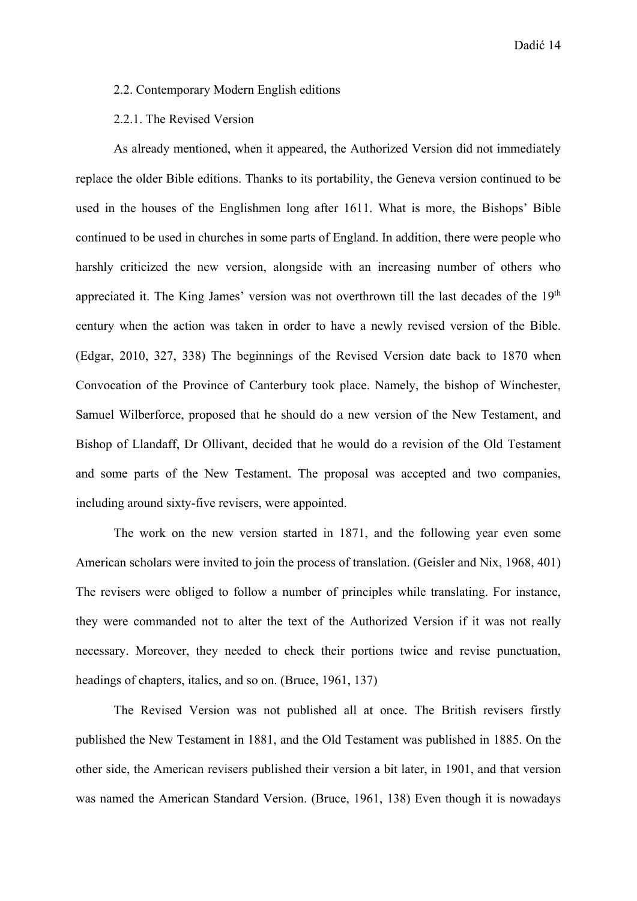#### 2.2. Contemporary Modern English editions

#### 2.2.1. The Revised Version

As already mentioned, when it appeared, the Authorized Version did not immediately replace the older Bible editions. Thanks to its portability, the Geneva version continued to be used in the houses of the Englishmen long after 1611. What is more, the Bishops' Bible continued to be used in churches in some parts of England. In addition, there were people who harshly criticized the new version, alongside with an increasing number of others who appreciated it. The King James' version was not overthrown till the last decades of the 19<sup>th</sup> century when the action was taken in order to have a newly revised version of the Bible. (Edgar, 2010, 327, 338) The beginnings of the Revised Version date back to 1870 when Convocation of the Province of Canterbury took place. Namely, the bishop of Winchester, Samuel Wilberforce, proposed that he should do a new version of the New Testament, and Bishop of Llandaff, Dr Ollivant, decided that he would do a revision of the Old Testament and some parts of the New Testament. The proposal was accepted and two companies, including around sixty-five revisers, were appointed.

The work on the new version started in 1871, and the following year even some American scholars were invited to join the process of translation. (Geisler and Nix, 1968, 401) The revisers were obliged to follow a number of principles while translating. For instance, they were commanded not to alter the text of the Authorized Version if it was not really necessary. Moreover, they needed to check their portions twice and revise punctuation, headings of chapters, italics, and so on. (Bruce, 1961, 137)

The Revised Version was not published all at once. The British revisers firstly published the New Testament in 1881, and the Old Testament was published in 1885. On the other side, the American revisers published their version a bit later, in 1901, and that version was named the American Standard Version. (Bruce, 1961, 138) Even though it is nowadays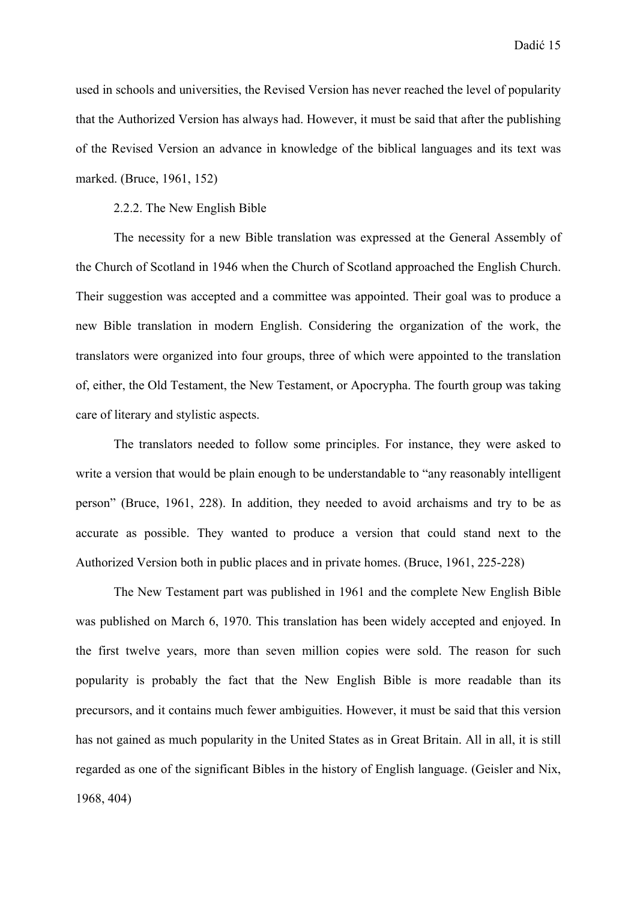used in schools and universities, the Revised Version has never reached the level of popularity that the Authorized Version has always had. However, it must be said that after the publishing of the Revised Version an advance in knowledge of the biblical languages and its text was marked. (Bruce, 1961, 152)

#### 2.2.2. The New English Bible

The necessity for a new Bible translation was expressed at the General Assembly of the Church of Scotland in 1946 when the Church of Scotland approached the English Church. Their suggestion was accepted and a committee was appointed. Their goal was to produce a new Bible translation in modern English. Considering the organization of the work, the translators were organized into four groups, three of which were appointed to the translation of, either, the Old Testament, the New Testament, or Apocrypha. The fourth group was taking care of literary and stylistic aspects.

The translators needed to follow some principles. For instance, they were asked to write a version that would be plain enough to be understandable to "any reasonably intelligent person" (Bruce, 1961, 228). In addition, they needed to avoid archaisms and try to be as accurate as possible. They wanted to produce a version that could stand next to the Authorized Version both in public places and in private homes. (Bruce, 1961, 225-228)

The New Testament part was published in 1961 and the complete New English Bible was published on March 6, 1970. This translation has been widely accepted and enjoyed. In the first twelve years, more than seven million copies were sold. The reason for such popularity is probably the fact that the New English Bible is more readable than its precursors, and it contains much fewer ambiguities. However, it must be said that this version has not gained as much popularity in the United States as in Great Britain. All in all, it is still regarded as one of the significant Bibles in the history of English language. (Geisler and Nix, 1968, 404)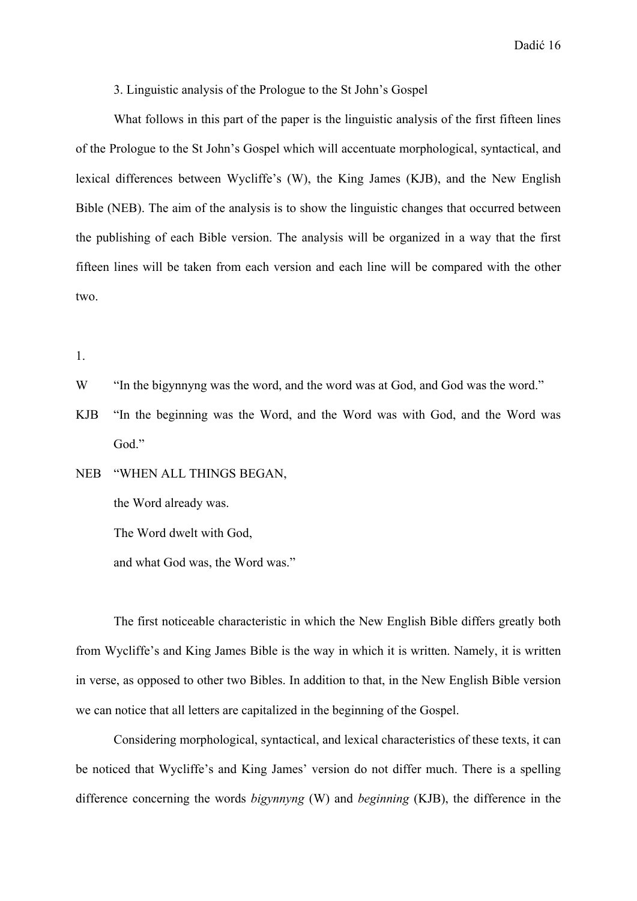3. Linguistic analysis of the Prologue to the St John's Gospel

What follows in this part of the paper is the linguistic analysis of the first fifteen lines of the Prologue to the St John's Gospel which will accentuate morphological, syntactical, and lexical differences between Wycliffe's (W), the King James (KJB), and the New English Bible (NEB). The aim of the analysis is to show the linguistic changes that occurred between the publishing of each Bible version. The analysis will be organized in a way that the first fifteen lines will be taken from each version and each line will be compared with the other two.

1.

- W "In the bigynnyng was the word, and the word was at God, and God was the word."
- KJB "In the beginning was the Word, and the Word was with God, and the Word was God."

NEB "WHEN ALL THINGS BEGAN, the Word already was. The Word dwelt with God,

and what God was, the Word was."

 The first noticeable characteristic in which the New English Bible differs greatly both from Wycliffe's and King James Bible is the way in which it is written. Namely, it is written in verse, as opposed to other two Bibles. In addition to that, in the New English Bible version we can notice that all letters are capitalized in the beginning of the Gospel.

 Considering morphological, syntactical, and lexical characteristics of these texts, it can be noticed that Wycliffe's and King James' version do not differ much. There is a spelling difference concerning the words *bigynnyng* (W) and *beginning* (KJB), the difference in the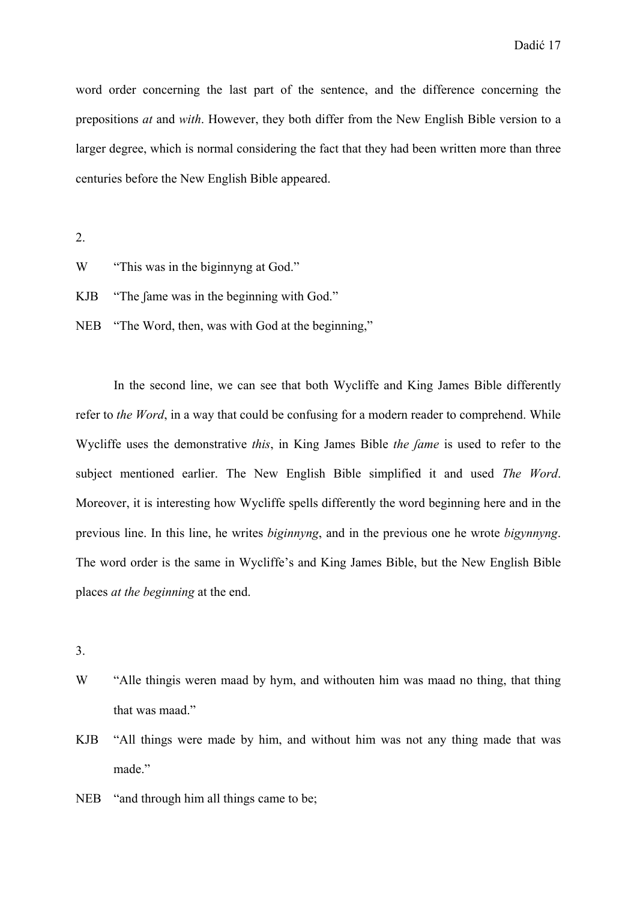word order concerning the last part of the sentence, and the difference concerning the prepositions *at* and *with*. However, they both differ from the New English Bible version to a larger degree, which is normal considering the fact that they had been written more than three centuries before the New English Bible appeared.

2.

W "This was in the biginnyng at God."

KJB "The fame was in the beginning with God."

NEB "The Word, then, was with God at the beginning,"

 In the second line, we can see that both Wycliffe and King James Bible differently refer to *the Word*, in a way that could be confusing for a modern reader to comprehend. While Wycliffe uses the demonstrative *this*, in King James Bible *the ʃame* is used to refer to the subject mentioned earlier. The New English Bible simplified it and used *The Word*. Moreover, it is interesting how Wycliffe spells differently the word beginning here and in the previous line. In this line, he writes *biginnyng*, and in the previous one he wrote *bigynnyng*. The word order is the same in Wycliffe's and King James Bible, but the New English Bible places *at the beginning* at the end.

3.

- W "Alle thing weren maad by hym, and withouten him was maad no thing, that thing that was maad."
- KJB "All things were made by him, and without him was not any thing made that was made."
- NEB "and through him all things came to be;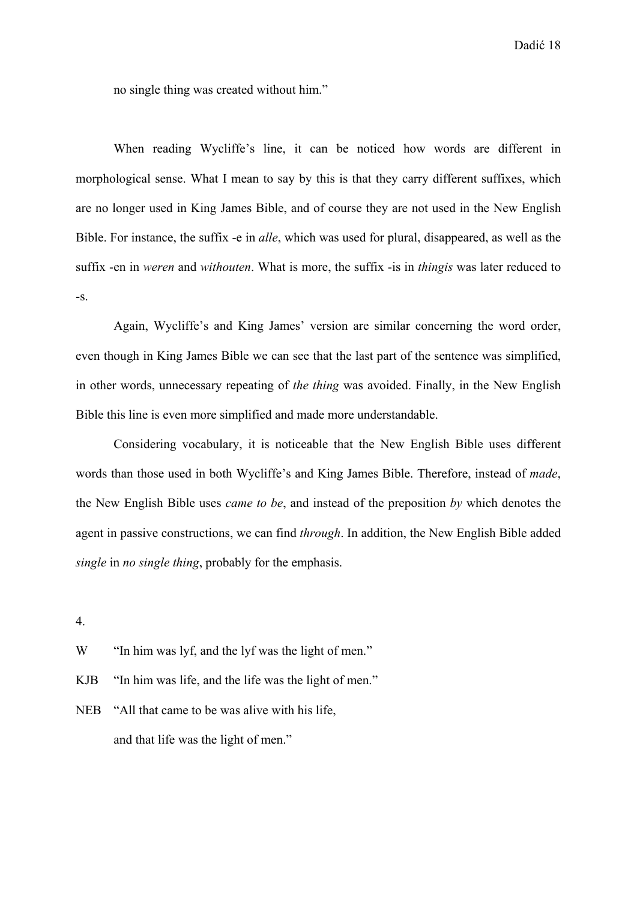no single thing was created without him."

 When reading Wycliffe's line, it can be noticed how words are different in morphological sense. What I mean to say by this is that they carry different suffixes, which are no longer used in King James Bible, and of course they are not used in the New English Bible. For instance, the suffix -e in *alle*, which was used for plural, disappeared, as well as the suffix -en in *weren* and *withouten*. What is more, the suffix -is in *thingis* was later reduced to -s.

 Again, Wycliffe's and King James' version are similar concerning the word order, even though in King James Bible we can see that the last part of the sentence was simplified, in other words, unnecessary repeating of *the thing* was avoided. Finally, in the New English Bible this line is even more simplified and made more understandable.

 Considering vocabulary, it is noticeable that the New English Bible uses different words than those used in both Wycliffe's and King James Bible. Therefore, instead of *made*, the New English Bible uses *came to be*, and instead of the preposition *by* which denotes the agent in passive constructions, we can find *through*. In addition, the New English Bible added *single* in *no single thing*, probably for the emphasis.

4.

W "In him was lyf, and the lyf was the light of men."

KJB "In him was life, and the life was the light of men."

NEB "All that came to be was alive with his life, and that life was the light of men."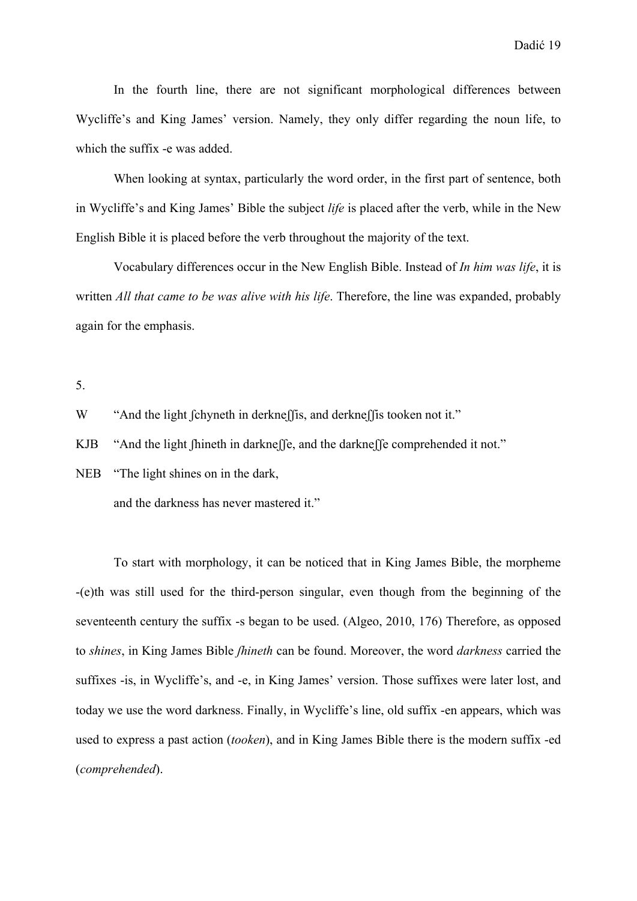In the fourth line, there are not significant morphological differences between Wycliffe's and King James' version. Namely, they only differ regarding the noun life, to which the suffix -e was added.

When looking at syntax, particularly the word order, in the first part of sentence, both in Wycliffe's and King James' Bible the subject *life* is placed after the verb, while in the New English Bible it is placed before the verb throughout the majority of the text.

Vocabulary differences occur in the New English Bible. Instead of *In him was life*, it is written *All that came to be was alive with his life*. Therefore, the line was expanded, probably again for the emphasis.

5.

W "And the light fchyneth in derkneff is, and derkneff is tooken not it."

KJB "And the light fhineth in darkneffe, and the darkneffe comprehended it not."

NEB "The light shines on in the dark,

and the darkness has never mastered it."

 To start with morphology, it can be noticed that in King James Bible, the morpheme -(e)th was still used for the third-person singular, even though from the beginning of the seventeenth century the suffix -s began to be used. (Algeo, 2010, 176) Therefore, as opposed to *shines*, in King James Bible *ʃhineth* can be found. Moreover, the word *darkness* carried the suffixes -is, in Wycliffe's, and -e, in King James' version. Those suffixes were later lost, and today we use the word darkness. Finally, in Wycliffe's line, old suffix -en appears, which was used to express a past action (*tooken*), and in King James Bible there is the modern suffix -ed (*comprehended*).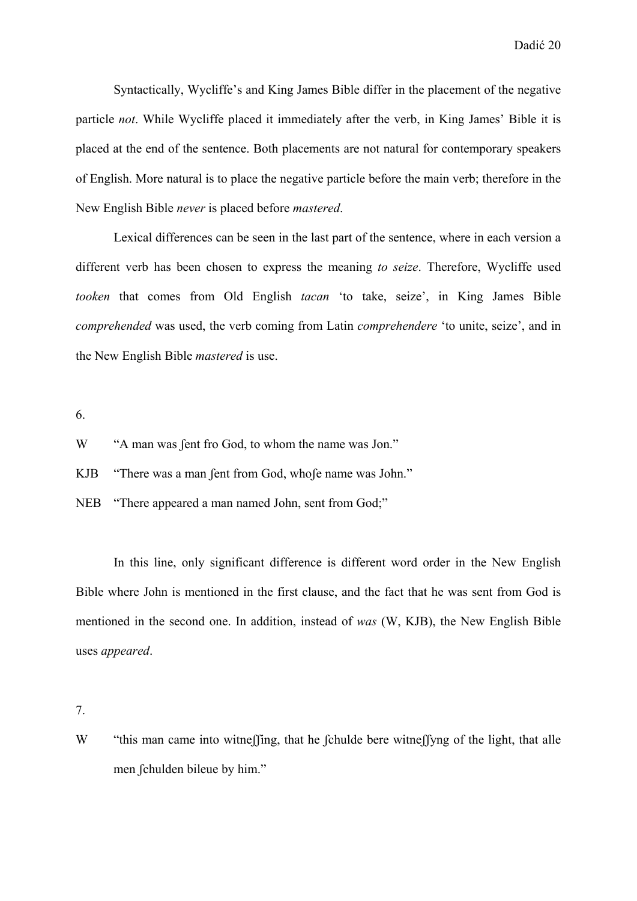Syntactically, Wycliffe's and King James Bible differ in the placement of the negative particle *not*. While Wycliffe placed it immediately after the verb, in King James' Bible it is placed at the end of the sentence. Both placements are not natural for contemporary speakers of English. More natural is to place the negative particle before the main verb; therefore in the New English Bible *never* is placed before *mastered*.

 Lexical differences can be seen in the last part of the sentence, where in each version a different verb has been chosen to express the meaning *to seize*. Therefore, Wycliffe used *tooken* that comes from Old English *tacan* 'to take, seize', in King James Bible *comprehended* was used, the verb coming from Latin *comprehendere* 'to unite, seize', and in the New English Bible *mastered* is use.

6.

W "A man was fent fro God, to whom the name was Jon."

KJB "There was a man ʃent from God, whoʃe name was John."

NEB "There appeared a man named John, sent from God;"

 In this line, only significant difference is different word order in the New English Bible where John is mentioned in the first clause, and the fact that he was sent from God is mentioned in the second one. In addition, instead of *was* (W, KJB), the New English Bible uses *appeared*.

7.

W "this man came into witneffing, that he fchulde bere witneffyng of the light, that alle men ʃchulden bileue by him."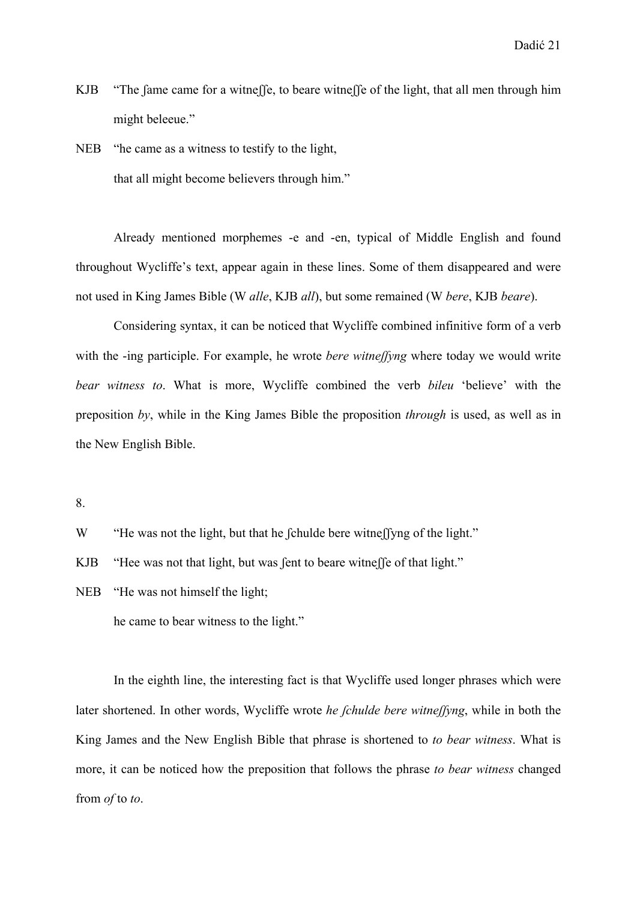KJB "The fame came for a witneffe, to beare witneffe of the light, that all men through him might beleeue."

NEB "he came as a witness to testify to the light, that all might become believers through him."

 Already mentioned morphemes -e and -en, typical of Middle English and found throughout Wycliffe's text, appear again in these lines. Some of them disappeared and were not used in King James Bible (W *alle*, KJB *all*), but some remained (W *bere*, KJB *beare*).

 Considering syntax, it can be noticed that Wycliffe combined infinitive form of a verb with the -ing participle. For example, he wrote *bere witne flyng* where today we would write *bear witness to*. What is more, Wycliffe combined the verb *bileu* 'believe' with the preposition *by*, while in the King James Bible the proposition *through* is used, as well as in the New English Bible.

8.

W "He was not the light, but that he fchulde bere witneffyng of the light."

KJB "Hee was not that light, but was fent to beare witneffe of that light."

NEB "He was not himself the light;

he came to bear witness to the light."

 In the eighth line, the interesting fact is that Wycliffe used longer phrases which were later shortened. In other words, Wycliffe wrote *he ʃchulde bere witneʃʃyng*, while in both the King James and the New English Bible that phrase is shortened to *to bear witness*. What is more, it can be noticed how the preposition that follows the phrase *to bear witness* changed from *of* to *to*.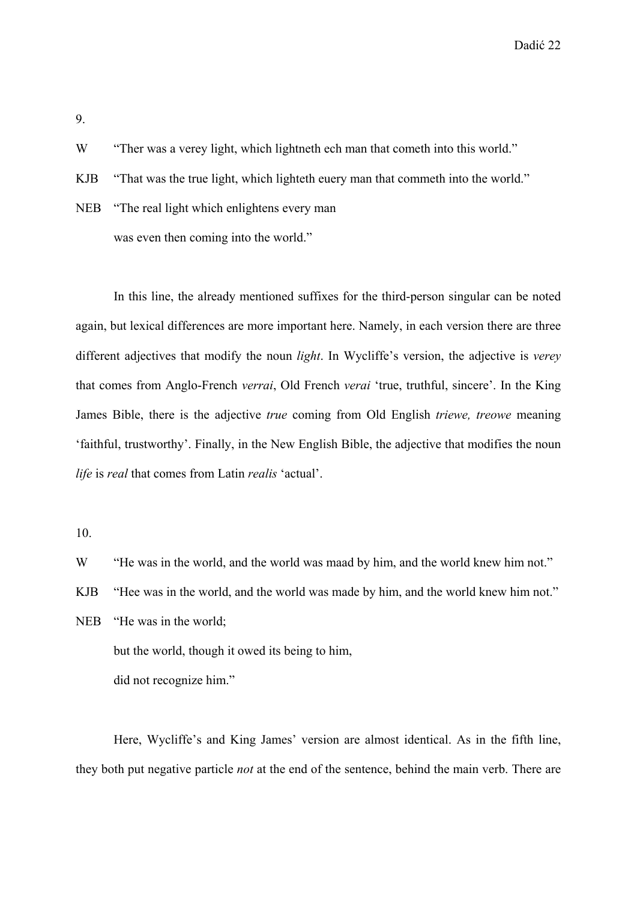Dadić 22

9.

W "Ther was a verey light, which lightneth ech man that cometh into this world."

KJB "That was the true light, which lighteth euery man that commeth into the world."

NEB "The real light which enlightens every man was even then coming into the world."

 In this line, the already mentioned suffixes for the third-person singular can be noted again, but lexical differences are more important here. Namely, in each version there are three different adjectives that modify the noun *light*. In Wycliffe's version, the adjective is *verey* that comes from Anglo-French *verrai*, Old French *verai* 'true, truthful, sincere'. In the King James Bible, there is the adjective *true* coming from Old English *triewe, treowe* meaning 'faithful, trustworthy'. Finally, in the New English Bible, the adjective that modifies the noun *life* is *real* that comes from Latin *realis* 'actual'.

10.

W "He was in the world, and the world was maad by him, and the world knew him not."

KJB "Hee was in the world, and the world was made by him, and the world knew him not."

NEB "He was in the world; but the world, though it owed its being to him, did not recognize him."

 Here, Wycliffe's and King James' version are almost identical. As in the fifth line, they both put negative particle *not* at the end of the sentence, behind the main verb. There are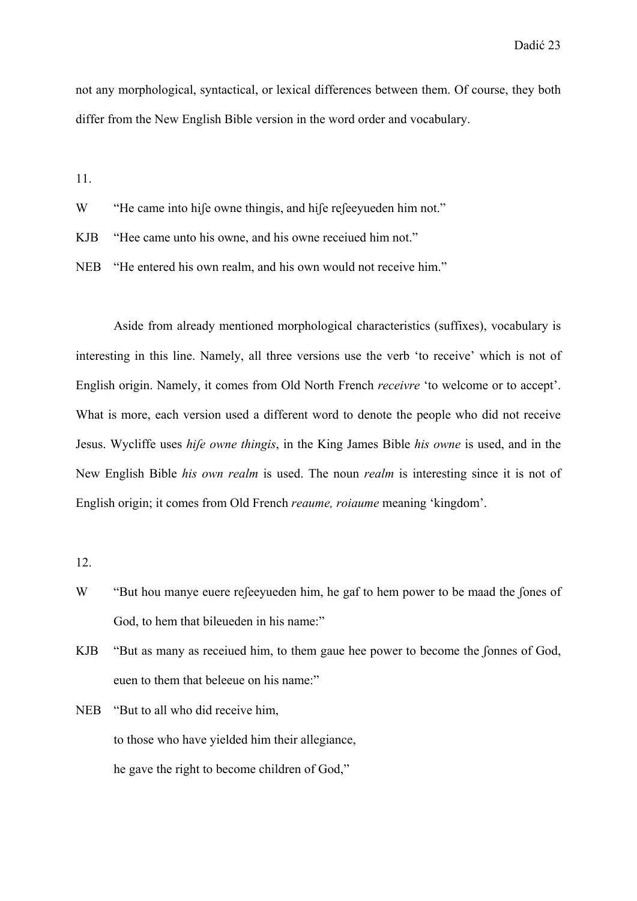not any morphological, syntactical, or lexical differences between them. Of course, they both differ from the New English Bible version in the word order and vocabulary.

11.

W "He came into hife owne thingis, and hife refeevueden him not."

KJB "Hee came unto his owne, and his owne receiued him not."

NEB "He entered his own realm, and his own would not receive him."

 Aside from already mentioned morphological characteristics (suffixes), vocabulary is interesting in this line. Namely, all three versions use the verb 'to receive' which is not of English origin. Namely, it comes from Old North French *receivre* 'to welcome or to accept'. What is more, each version used a different word to denote the people who did not receive Jesus. Wycliffe uses *hiʃe owne thingis*, in the King James Bible *his owne* is used, and in the New English Bible *his own realm* is used. The noun *realm* is interesting since it is not of English origin; it comes from Old French *reaume, roiaume* meaning 'kingdom'.

12.

- W "But hou manye euere refeevueden him, he gaf to hem power to be maad the fones of God, to hem that bileueden in his name:"
- KJB "But as many as receiued him, to them gaue hee power to become the fonnes of God, euen to them that beleeue on his name:"
- NEB "But to all who did receive him, to those who have yielded him their allegiance, he gave the right to become children of God,"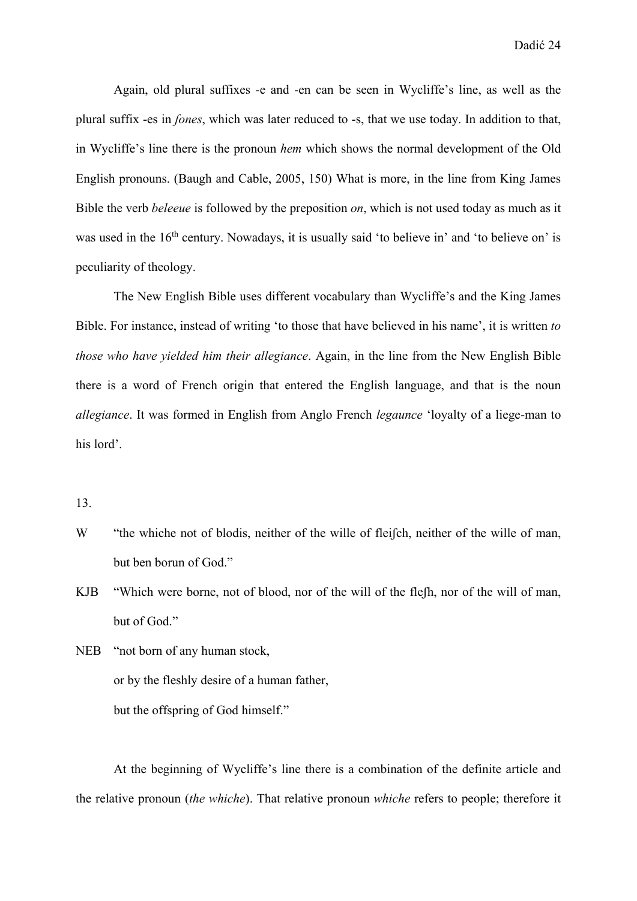Again, old plural suffixes -e and -en can be seen in Wycliffe's line, as well as the plural suffix -es in *ʃones*, which was later reduced to -s, that we use today. In addition to that, in Wycliffe's line there is the pronoun *hem* which shows the normal development of the Old English pronouns. (Baugh and Cable, 2005, 150) What is more, in the line from King James Bible the verb *beleeue* is followed by the preposition *on*, which is not used today as much as it was used in the 16<sup>th</sup> century. Nowadays, it is usually said 'to believe in' and 'to believe on' is peculiarity of theology.

 The New English Bible uses different vocabulary than Wycliffe's and the King James Bible. For instance, instead of writing 'to those that have believed in his name', it is written *to those who have yielded him their allegiance*. Again, in the line from the New English Bible there is a word of French origin that entered the English language, and that is the noun *allegiance*. It was formed in English from Anglo French *legaunce* 'loyalty of a liege-man to his lord'.

#### 13.

- W "the whiche not of blodis, neither of the wille of fleifch, neither of the wille of man, but ben borun of God."
- KJB "Which were borne, not of blood, nor of the will of the flefh, nor of the will of man, but of God."
- NEB "not born of any human stock, or by the fleshly desire of a human father, but the offspring of God himself."

 At the beginning of Wycliffe's line there is a combination of the definite article and the relative pronoun (*the whiche*). That relative pronoun *whiche* refers to people; therefore it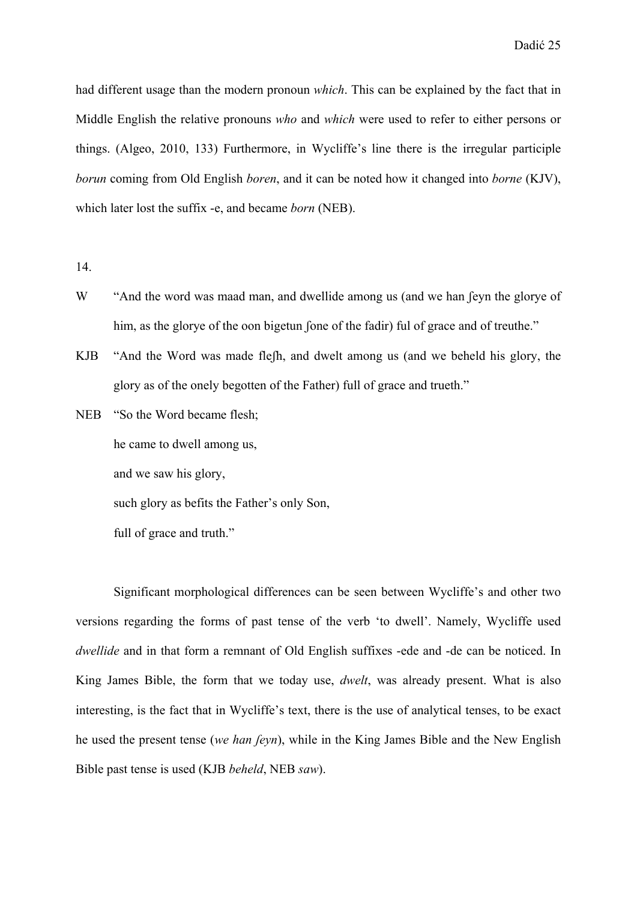had different usage than the modern pronoun *which*. This can be explained by the fact that in Middle English the relative pronouns *who* and *which* were used to refer to either persons or things. (Algeo, 2010, 133) Furthermore, in Wycliffe's line there is the irregular participle *borun* coming from Old English *boren*, and it can be noted how it changed into *borne* (KJV), which later lost the suffix -e, and became *born* (NEB).

14.

- W "And the word was maad man, and dwellide among us (and we han feyn the glorye of him, as the glorye of the oon bigetun fone of the fadir) ful of grace and of treuthe."
- KJB "And the Word was made fleʃh, and dwelt among us (and we beheld his glory, the glory as of the onely begotten of the Father) full of grace and trueth."
- NEB "So the Word became flesh;

he came to dwell among us,

and we saw his glory,

such glory as befits the Father's only Son,

full of grace and truth."

 Significant morphological differences can be seen between Wycliffe's and other two versions regarding the forms of past tense of the verb 'to dwell'. Namely, Wycliffe used *dwellide* and in that form a remnant of Old English suffixes -ede and -de can be noticed. In King James Bible, the form that we today use, *dwelt*, was already present. What is also interesting, is the fact that in Wycliffe's text, there is the use of analytical tenses, to be exact he used the present tense (*we han ʃeyn*), while in the King James Bible and the New English Bible past tense is used (KJB *beheld*, NEB *saw*).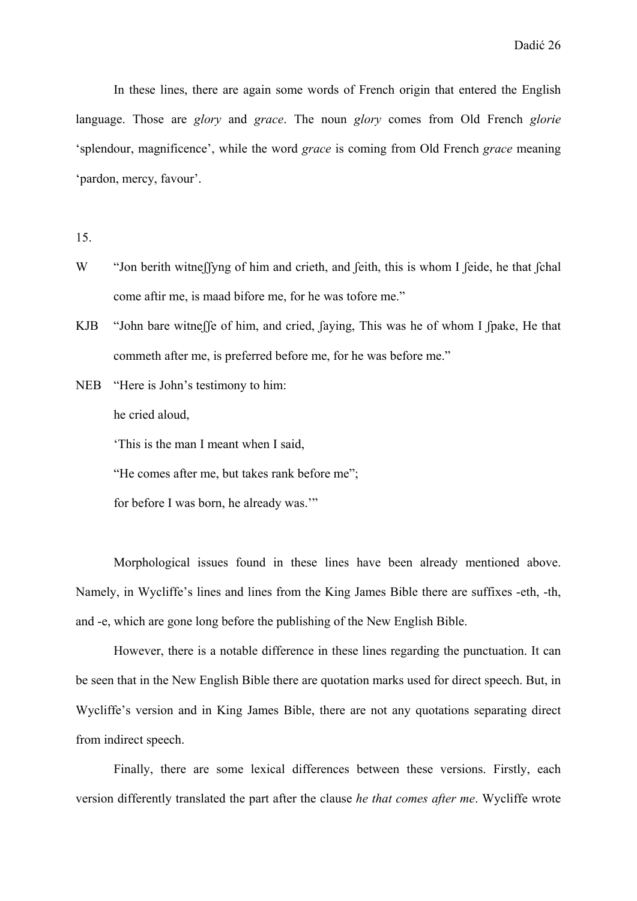In these lines, there are again some words of French origin that entered the English language. Those are *glory* and *grace*. The noun *glory* comes from Old French *glorie* 'splendour, magnificence', while the word *grace* is coming from Old French *grace* meaning 'pardon, mercy, favour'.

15.

- W "Jon berith witneffyng of him and crieth, and feith, this is whom I feide, he that fchal come aftir me, is maad bifore me, for he was tofore me."
- KJB "John bare witneffe of him, and cried, faying, This was he of whom I fpake, He that commeth after me, is preferred before me, for he was before me."
- NEB "Here is John's testimony to him:

he cried aloud,

'This is the man I meant when I said,

"He comes after me, but takes rank before me";

for before I was born, he already was.'"

 Morphological issues found in these lines have been already mentioned above. Namely, in Wycliffe's lines and lines from the King James Bible there are suffixes -eth, -th, and -e, which are gone long before the publishing of the New English Bible.

 However, there is a notable difference in these lines regarding the punctuation. It can be seen that in the New English Bible there are quotation marks used for direct speech. But, in Wycliffe's version and in King James Bible, there are not any quotations separating direct from indirect speech.

 Finally, there are some lexical differences between these versions. Firstly, each version differently translated the part after the clause *he that comes after me*. Wycliffe wrote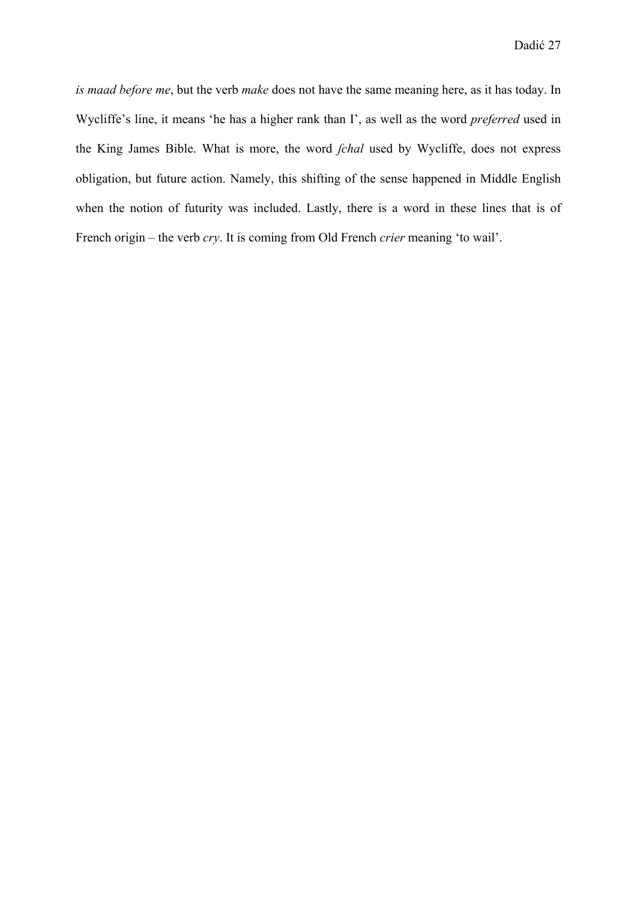*is maad before me*, but the verb *make* does not have the same meaning here, as it has today. In Wycliffe's line, it means 'he has a higher rank than I', as well as the word *preferred* used in the King James Bible. What is more, the word *ʃchal* used by Wycliffe, does not express obligation, but future action. Namely, this shifting of the sense happened in Middle English when the notion of futurity was included. Lastly, there is a word in these lines that is of French origin – the verb *cry*. It is coming from Old French *crier* meaning 'to wail'.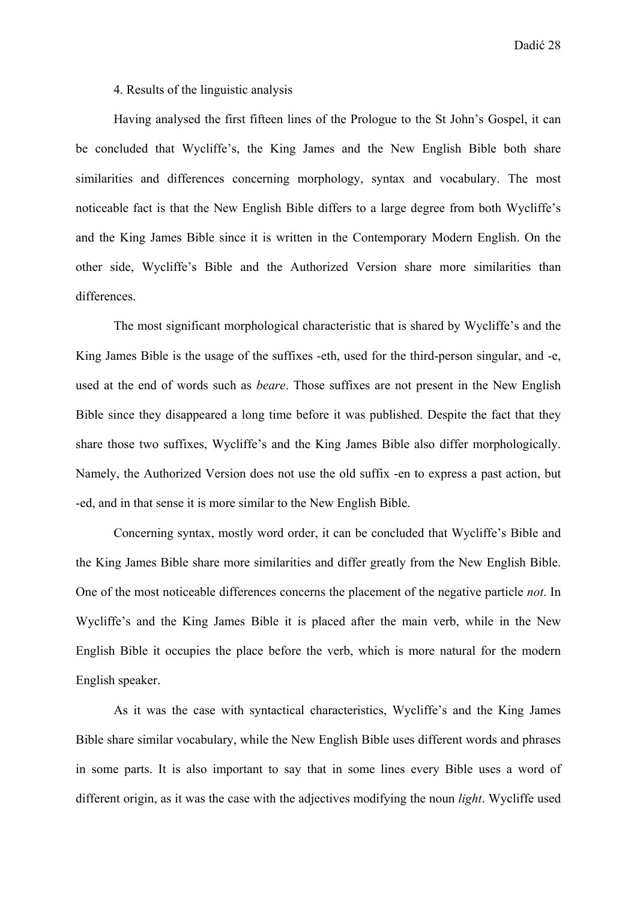Dadić 28

4. Results of the linguistic analysis

 Having analysed the first fifteen lines of the Prologue to the St John's Gospel, it can be concluded that Wycliffe's, the King James and the New English Bible both share similarities and differences concerning morphology, syntax and vocabulary. The most noticeable fact is that the New English Bible differs to a large degree from both Wycliffe's and the King James Bible since it is written in the Contemporary Modern English. On the other side, Wycliffe's Bible and the Authorized Version share more similarities than differences.

 The most significant morphological characteristic that is shared by Wycliffe's and the King James Bible is the usage of the suffixes -eth, used for the third-person singular, and -e, used at the end of words such as *beare*. Those suffixes are not present in the New English Bible since they disappeared a long time before it was published. Despite the fact that they share those two suffixes, Wycliffe's and the King James Bible also differ morphologically. Namely, the Authorized Version does not use the old suffix -en to express a past action, but -ed, and in that sense it is more similar to the New English Bible.

 Concerning syntax, mostly word order, it can be concluded that Wycliffe's Bible and the King James Bible share more similarities and differ greatly from the New English Bible. One of the most noticeable differences concerns the placement of the negative particle *not*. In Wycliffe's and the King James Bible it is placed after the main verb, while in the New English Bible it occupies the place before the verb, which is more natural for the modern English speaker.

 As it was the case with syntactical characteristics, Wycliffe's and the King James Bible share similar vocabulary, while the New English Bible uses different words and phrases in some parts. It is also important to say that in some lines every Bible uses a word of different origin, as it was the case with the adjectives modifying the noun *light*. Wycliffe used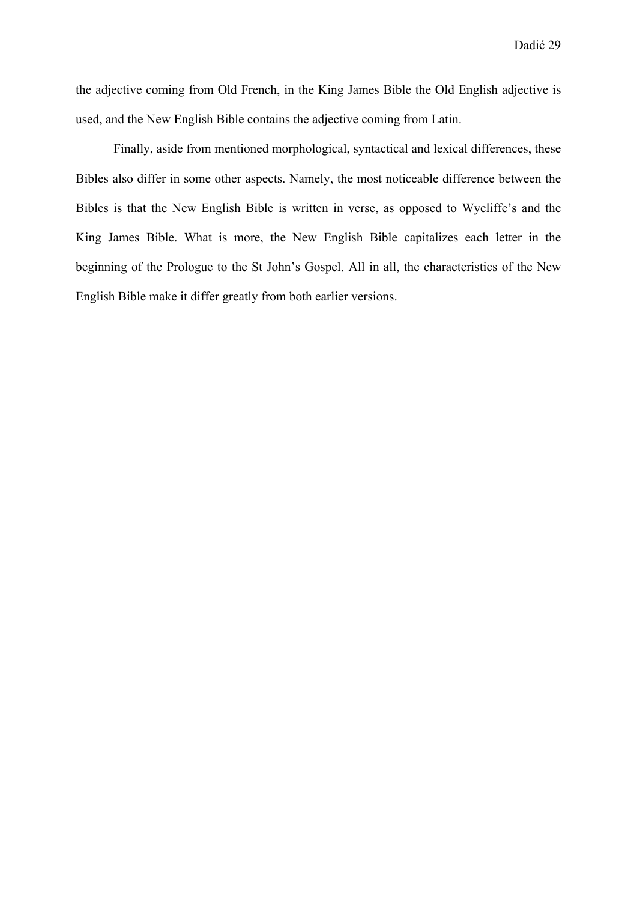the adjective coming from Old French, in the King James Bible the Old English adjective is used, and the New English Bible contains the adjective coming from Latin.

 Finally, aside from mentioned morphological, syntactical and lexical differences, these Bibles also differ in some other aspects. Namely, the most noticeable difference between the Bibles is that the New English Bible is written in verse, as opposed to Wycliffe's and the King James Bible. What is more, the New English Bible capitalizes each letter in the beginning of the Prologue to the St John's Gospel. All in all, the characteristics of the New English Bible make it differ greatly from both earlier versions.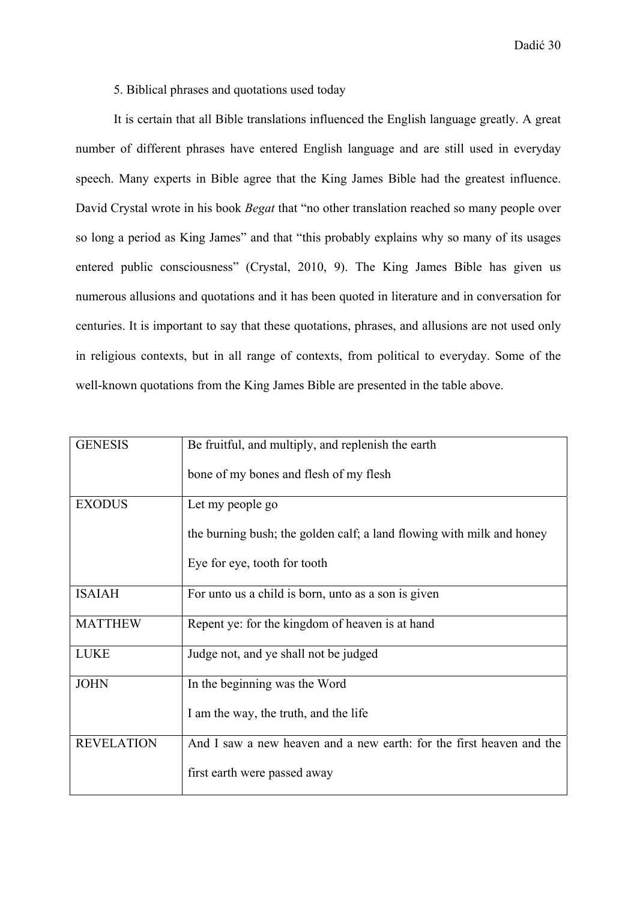5. Biblical phrases and quotations used today

 It is certain that all Bible translations influenced the English language greatly. A great number of different phrases have entered English language and are still used in everyday speech. Many experts in Bible agree that the King James Bible had the greatest influence. David Crystal wrote in his book *Begat* that "no other translation reached so many people over so long a period as King James" and that "this probably explains why so many of its usages entered public consciousness" (Crystal, 2010, 9). The King James Bible has given us numerous allusions and quotations and it has been quoted in literature and in conversation for centuries. It is important to say that these quotations, phrases, and allusions are not used only in religious contexts, but in all range of contexts, from political to everyday. Some of the well-known quotations from the King James Bible are presented in the table above.

| <b>GENESIS</b>    | Be fruitful, and multiply, and replenish the earth                    |
|-------------------|-----------------------------------------------------------------------|
|                   | bone of my bones and flesh of my flesh                                |
| <b>EXODUS</b>     | Let my people go                                                      |
|                   | the burning bush; the golden calf; a land flowing with milk and honey |
|                   | Eye for eye, tooth for tooth                                          |
| <b>ISAIAH</b>     | For unto us a child is born, unto as a son is given                   |
| <b>MATTHEW</b>    | Repent ye: for the kingdom of heaven is at hand                       |
| <b>LUKE</b>       | Judge not, and ye shall not be judged                                 |
| <b>JOHN</b>       | In the beginning was the Word                                         |
|                   | I am the way, the truth, and the life                                 |
| <b>REVELATION</b> | And I saw a new heaven and a new earth: for the first heaven and the  |
|                   | first earth were passed away                                          |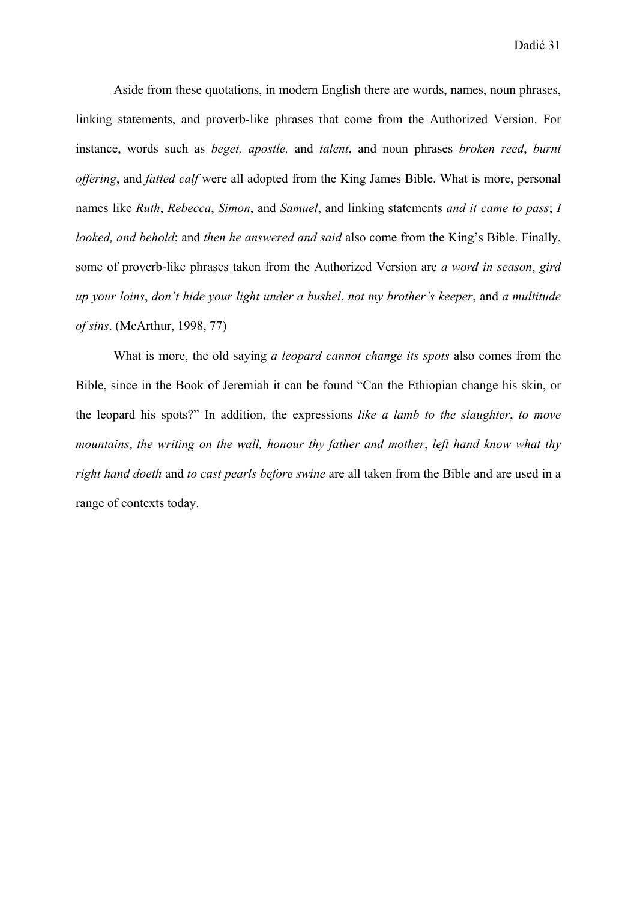Aside from these quotations, in modern English there are words, names, noun phrases, linking statements, and proverb-like phrases that come from the Authorized Version. For instance, words such as *beget, apostle,* and *talent*, and noun phrases *broken reed*, *burnt offering*, and *fatted calf* were all adopted from the King James Bible. What is more, personal names like *Ruth*, *Rebecca*, *Simon*, and *Samuel*, and linking statements *and it came to pass*; *I looked, and behold*; and *then he answered and said* also come from the King's Bible. Finally, some of proverb-like phrases taken from the Authorized Version are *a word in season*, *gird up your loins*, *don't hide your light under a bushel*, *not my brother's keeper*, and *a multitude of sins*. (McArthur, 1998, 77)

 What is more, the old saying *a leopard cannot change its spots* also comes from the Bible, since in the Book of Jeremiah it can be found "Can the Ethiopian change his skin, or the leopard his spots?" In addition, the expressions *like a lamb to the slaughter*, *to move mountains*, *the writing on the wall, honour thy father and mother*, *left hand know what thy right hand doeth* and *to cast pearls before swine* are all taken from the Bible and are used in a range of contexts today.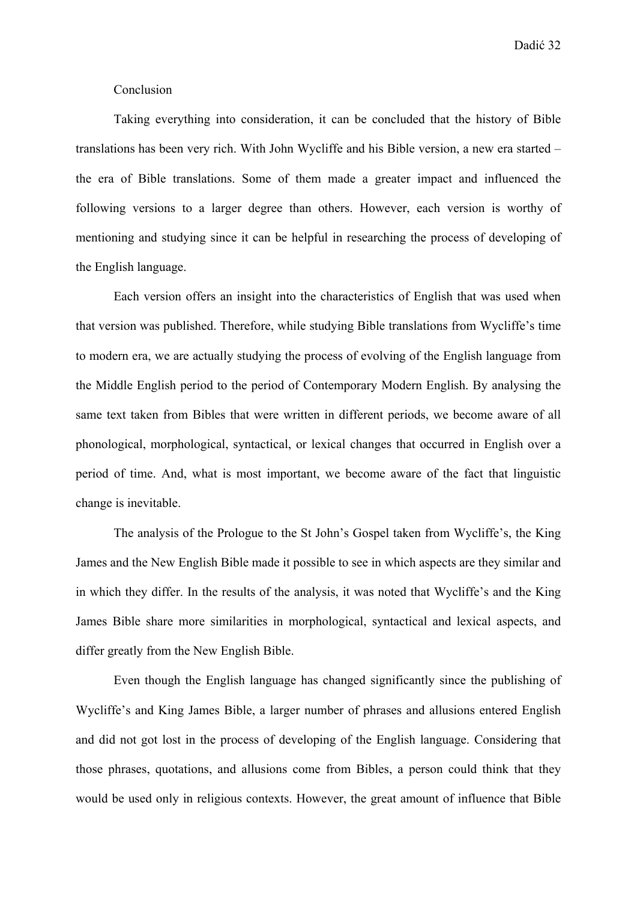Dadić 32

#### Conclusion

 Taking everything into consideration, it can be concluded that the history of Bible translations has been very rich. With John Wycliffe and his Bible version, a new era started – the era of Bible translations. Some of them made a greater impact and influenced the following versions to a larger degree than others. However, each version is worthy of mentioning and studying since it can be helpful in researching the process of developing of the English language.

 Each version offers an insight into the characteristics of English that was used when that version was published. Therefore, while studying Bible translations from Wycliffe's time to modern era, we are actually studying the process of evolving of the English language from the Middle English period to the period of Contemporary Modern English. By analysing the same text taken from Bibles that were written in different periods, we become aware of all phonological, morphological, syntactical, or lexical changes that occurred in English over a period of time. And, what is most important, we become aware of the fact that linguistic change is inevitable.

 The analysis of the Prologue to the St John's Gospel taken from Wycliffe's, the King James and the New English Bible made it possible to see in which aspects are they similar and in which they differ. In the results of the analysis, it was noted that Wycliffe's and the King James Bible share more similarities in morphological, syntactical and lexical aspects, and differ greatly from the New English Bible.

 Even though the English language has changed significantly since the publishing of Wycliffe's and King James Bible, a larger number of phrases and allusions entered English and did not got lost in the process of developing of the English language. Considering that those phrases, quotations, and allusions come from Bibles, a person could think that they would be used only in religious contexts. However, the great amount of influence that Bible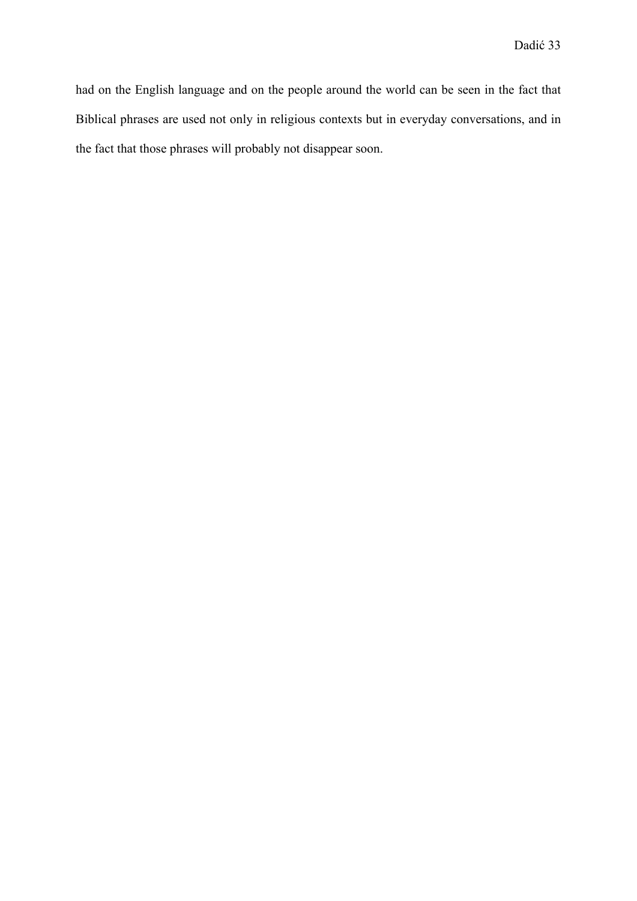had on the English language and on the people around the world can be seen in the fact that Biblical phrases are used not only in religious contexts but in everyday conversations, and in the fact that those phrases will probably not disappear soon.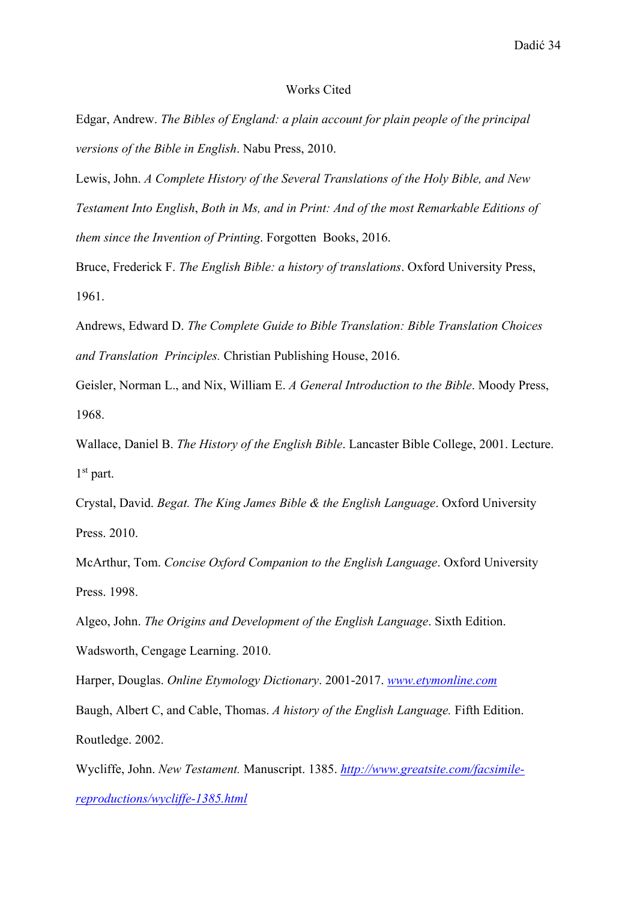#### Works Cited

Edgar, Andrew. *The Bibles of England: a plain account for plain people of the principal versions of the Bible in English*. Nabu Press, 2010.

Lewis, John. *A Complete History of the Several Translations of the Holy Bible, and New Testament Into English*, *Both in Ms, and in Print: And of the most Remarkable Editions of them since the Invention of Printing*. Forgotten Books, 2016.

Bruce, Frederick F. *The English Bible: a history of translations*. Oxford University Press, 1961.

Andrews, Edward D. *The Complete Guide to Bible Translation: Bible Translation Choices and Translation Principles.* Christian Publishing House, 2016.

Geisler, Norman L., and Nix, William E. *A General Introduction to the Bible*. Moody Press, 1968.

Wallace, Daniel B. *The History of the English Bible*. Lancaster Bible College, 2001. Lecture. 1<sup>st</sup> part.

Crystal, David. *Begat. The King James Bible & the English Language*. Oxford University Press. 2010.

McArthur, Tom. *Concise Oxford Companion to the English Language*. Oxford University Press. 1998.

Algeo, John. *The Origins and Development of the English Language*. Sixth Edition.

Wadsworth, Cengage Learning. 2010.

Harper, Douglas. *Online Etymology Dictionary*. 2001-2017. *www.etymonline.com*

Baugh, Albert C, and Cable, Thomas. *A history of the English Language.* Fifth Edition. Routledge. 2002.

Wycliffe, John. *New Testament.* Manuscript. 1385. *http://www.greatsite.com/facsimilereproductions/wycliffe-1385.html*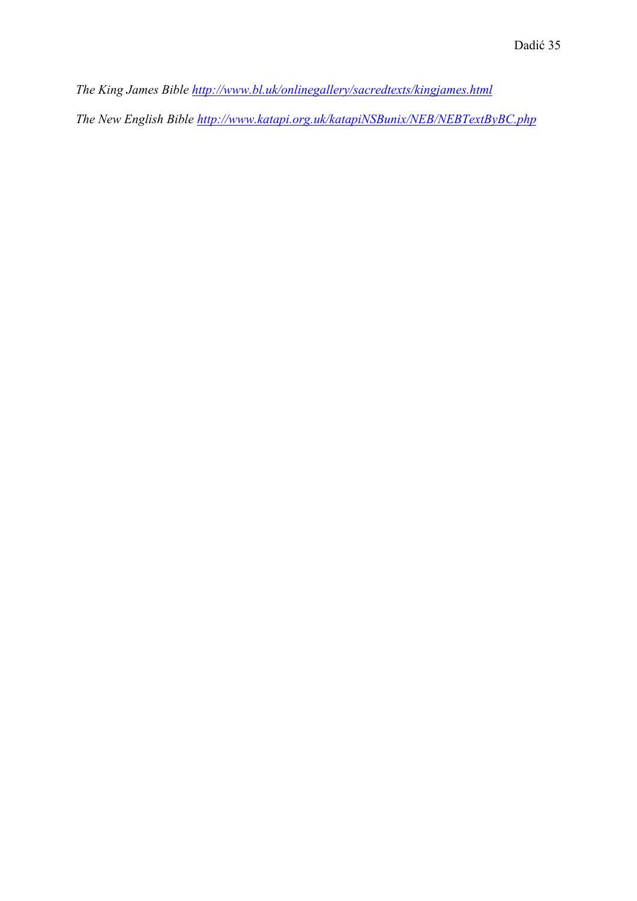*The King James Bible http://www.bl.uk/onlinegallery/sacredtexts/kingjames.html The New English Bible http://www.katapi.org.uk/katapiNSBunix/NEB/NEBTextByBC.php*